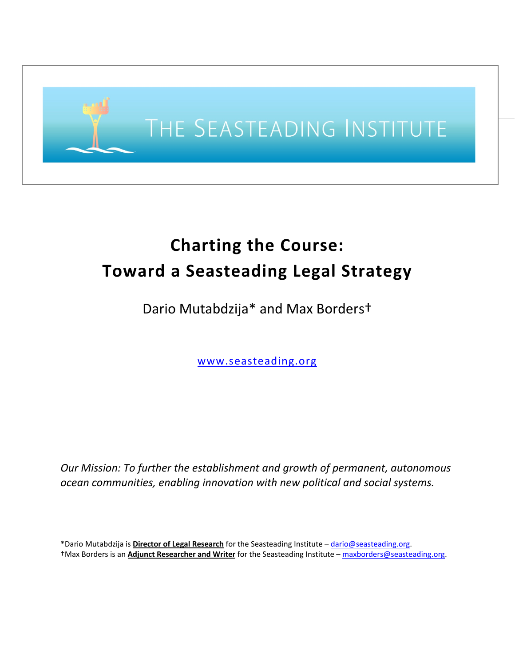

# **Charting the Course: Toward a Seasteading Legal Strategy**

Dario Mutabdzija\* and Max Borders†

www.seasteading.org

*Our Mission: To further the establishment and growth of permanent, autonomous ocean communities, enabling innovation with new political and social systems.*

\*Dario Mutabdzija is **Director of Legal Research** for the Seasteading Institute – dario@seasteading.org. †Max Borders is an **Adjunct Researcher and Writer** for the Seasteading Institute – maxborders@seasteading.org.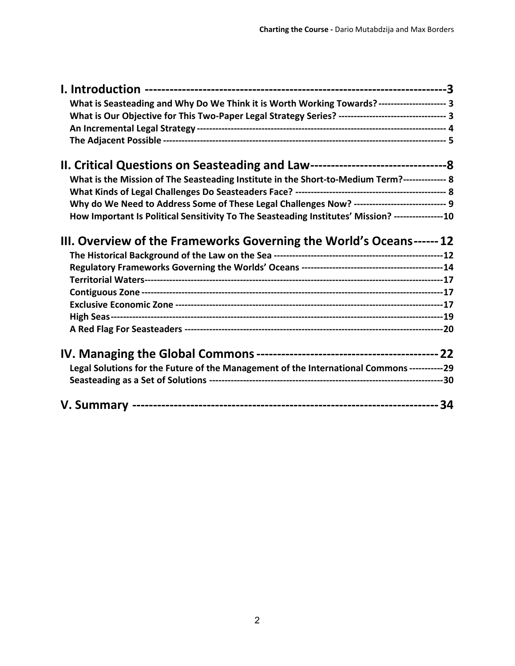| What is Seasteading and Why Do We Think it is Worth Working Towards?-------------------- 3           |  |                                                                                               |  |
|------------------------------------------------------------------------------------------------------|--|-----------------------------------------------------------------------------------------------|--|
| What is Our Objective for This Two-Paper Legal Strategy Series? ---------------------------------- 3 |  |                                                                                               |  |
|                                                                                                      |  |                                                                                               |  |
|                                                                                                      |  | What is the Mission of The Seasteading Institute in the Short-to-Medium Term?-------------- 8 |  |
|                                                                                                      |  |                                                                                               |  |
| Why do We Need to Address Some of These Legal Challenges Now? ----------------------------- 9        |  |                                                                                               |  |
| How Important Is Political Sensitivity To The Seasteading Institutes' Mission? ----------------10    |  |                                                                                               |  |
| III. Overview of the Frameworks Governing the World's Oceans------ 12                                |  |                                                                                               |  |
|                                                                                                      |  |                                                                                               |  |
|                                                                                                      |  |                                                                                               |  |
|                                                                                                      |  |                                                                                               |  |
|                                                                                                      |  |                                                                                               |  |
|                                                                                                      |  |                                                                                               |  |
|                                                                                                      |  |                                                                                               |  |
|                                                                                                      |  |                                                                                               |  |
| Legal Solutions for the Future of the Management of the International Commons -----------29          |  |                                                                                               |  |
|                                                                                                      |  |                                                                                               |  |
|                                                                                                      |  |                                                                                               |  |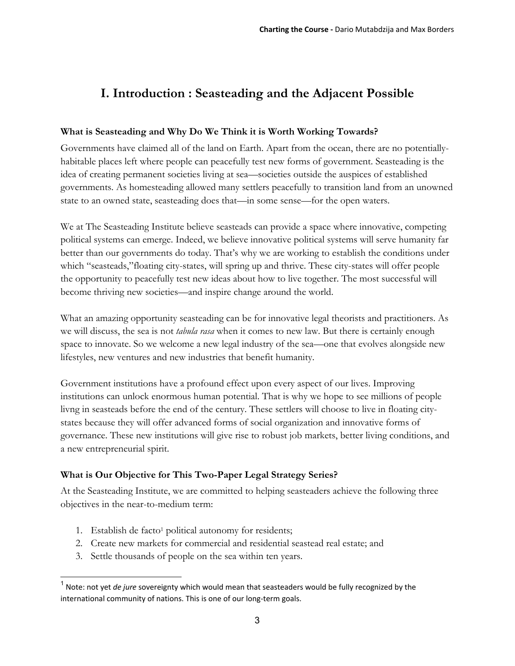# **I. Introduction : Seasteading and the Adjacent Possible**

# **What is Seasteading and Why Do We Think it is Worth Working Towards?**

Governments have claimed all of the land on Earth. Apart from the ocean, there are no potentiallyhabitable places left where people can peacefully test new forms of government. Seasteading is the idea of creating permanent societies living at sea—societies outside the auspices of established governments. As homesteading allowed many settlers peacefully to transition land from an unowned state to an owned state, seasteading does that—in some sense—for the open waters.

We at The Seasteading Institute believe seasteads can provide a space where innovative, competing political systems can emerge. Indeed, we believe innovative political systems will serve humanity far better than our governments do today. That's why we are working to establish the conditions under which "seasteads,"floating city-states, will spring up and thrive. These city-states will offer people the opportunity to peacefully test new ideas about how to live together. The most successful will become thriving new societies—and inspire change around the world.

What an amazing opportunity seasteading can be for innovative legal theorists and practitioners. As we will discuss, the sea is not *tabula rasa* when it comes to new law. But there is certainly enough space to innovate. So we welcome a new legal industry of the sea—one that evolves alongside new lifestyles, new ventures and new industries that benefit humanity.

Government institutions have a profound effect upon every aspect of our lives. Improving institutions can unlock enormous human potential. That is why we hope to see millions of people livng in seasteads before the end of the century. These settlers will choose to live in floating citystates because they will offer advanced forms of social organization and innovative forms of governance. These new institutions will give rise to robust job markets, better living conditions, and a new entrepreneurial spirit.

# **What is Our Objective for This Two-Paper Legal Strategy Series?**

At the Seasteading Institute, we are committed to helping seasteaders achieve the following three objectives in the near-to-medium term:

1. Establish de facto<sup>1</sup> political autonomy for residents;

- 2. Create new markets for commercial and residential seastead real estate; and
- 3. Settle thousands of people on the sea within ten years.

<sup>1</sup> Note: not yet *de jure* sovereignty which would mean that seasteaders would be fully recognized by the international community of nations. This is one of our long-term goals.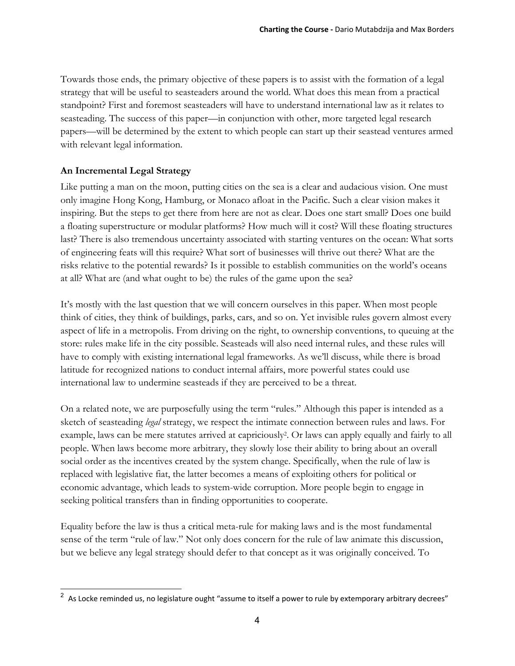Towards those ends, the primary objective of these papers is to assist with the formation of a legal strategy that will be useful to seasteaders around the world. What does this mean from a practical standpoint? First and foremost seasteaders will have to understand international law as it relates to seasteading. The success of this paper—in conjunction with other, more targeted legal research papers—will be determined by the extent to which people can start up their seastead ventures armed with relevant legal information.

### **An Incremental Legal Strategy**

Like putting a man on the moon, putting cities on the sea is a clear and audacious vision. One must only imagine Hong Kong, Hamburg, or Monaco afloat in the Pacific. Such a clear vision makes it inspiring. But the steps to get there from here are not as clear. Does one start small? Does one build a floating superstructure or modular platforms? How much will it cost? Will these floating structures last? There is also tremendous uncertainty associated with starting ventures on the ocean: What sorts of engineering feats will this require? What sort of businesses will thrive out there? What are the risks relative to the potential rewards? Is it possible to establish communities on the world's oceans at all? What are (and what ought to be) the rules of the game upon the sea?

It's mostly with the last question that we will concern ourselves in this paper. When most people think of cities, they think of buildings, parks, cars, and so on. Yet invisible rules govern almost every aspect of life in a metropolis. From driving on the right, to ownership conventions, to queuing at the store: rules make life in the city possible. Seasteads will also need internal rules, and these rules will have to comply with existing international legal frameworks. As we'll discuss, while there is broad latitude for recognized nations to conduct internal affairs, more powerful states could use international law to undermine seasteads if they are perceived to be a threat.

On a related note, we are purposefully using the term "rules." Although this paper is intended as a sketch of seasteading *legal* strategy, we respect the intimate connection between rules and laws. For example, laws can be mere statutes arrived at capriciously2. Or laws can apply equally and fairly to all people. When laws become more arbitrary, they slowly lose their ability to bring about an overall social order as the incentives created by the system change. Specifically, when the rule of law is replaced with legislative fiat, the latter becomes a means of exploiting others for political or economic advantage, which leads to system-wide corruption. More people begin to engage in seeking political transfers than in finding opportunities to cooperate.

Equality before the law is thus a critical meta-rule for making laws and is the most fundamental sense of the term "rule of law." Not only does concern for the rule of law animate this discussion, but we believe any legal strategy should defer to that concept as it was originally conceived. To

 $^2$  As Locke reminded us, no legislature ought "assume to itself a power to rule by extemporary arbitrary decrees"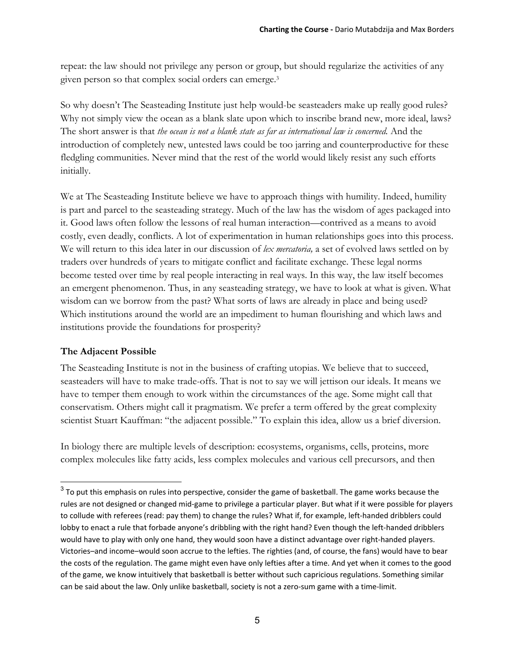repeat: the law should not privilege any person or group, but should regularize the activities of any given person so that complex social orders can emerge.3

So why doesn't The Seasteading Institute just help would-be seasteaders make up really good rules? Why not simply view the ocean as a blank slate upon which to inscribe brand new, more ideal, laws? The short answer is that *the ocean is not a blank state as far as international law is concerned.* And the introduction of completely new, untested laws could be too jarring and counterproductive for these fledgling communities. Never mind that the rest of the world would likely resist any such efforts initially.

We at The Seasteading Institute believe we have to approach things with humility. Indeed, humility is part and parcel to the seasteading strategy. Much of the law has the wisdom of ages packaged into it. Good laws often follow the lessons of real human interaction—contrived as a means to avoid costly, even deadly, conflicts. A lot of experimentation in human relationships goes into this process. We will return to this idea later in our discussion of *lex mercatoria,* a set of evolved laws settled on by traders over hundreds of years to mitigate conflict and facilitate exchange. These legal norms become tested over time by real people interacting in real ways. In this way, the law itself becomes an emergent phenomenon. Thus, in any seasteading strategy, we have to look at what is given. What wisdom can we borrow from the past? What sorts of laws are already in place and being used? Which institutions around the world are an impediment to human flourishing and which laws and institutions provide the foundations for prosperity?

#### **The Adjacent Possible**

 $\overline{a}$ 

The Seasteading Institute is not in the business of crafting utopias. We believe that to succeed, seasteaders will have to make trade-offs. That is not to say we will jettison our ideals. It means we have to temper them enough to work within the circumstances of the age. Some might call that conservatism. Others might call it pragmatism. We prefer a term offered by the great complexity scientist Stuart Kauffman: "the adjacent possible." To explain this idea, allow us a brief diversion.

In biology there are multiple levels of description: ecosystems, organisms, cells, proteins, more complex molecules like fatty acids, less complex molecules and various cell precursors, and then

 $3$  To put this emphasis on rules into perspective, consider the game of basketball. The game works because the rules are not designed or changed mid‐game to privilege a particular player. But what if it were possible for players to collude with referees (read: pay them) to change the rules? What if, for example, left‐handed dribblers could lobby to enact a rule that forbade anyone's dribbling with the right hand? Even though the left-handed dribblers would have to play with only one hand, they would soon have a distinct advantage over right-handed players. Victories–and income–would soon accrue to the lefties. The righties (and, of course, the fans) would have to bear the costs of the regulation. The game might even have only lefties after a time. And yet when it comes to the good of the game, we know intuitively that basketball is better without such capricious regulations. Something similar can be said about the law. Only unlike basketball, society is not a zero-sum game with a time-limit.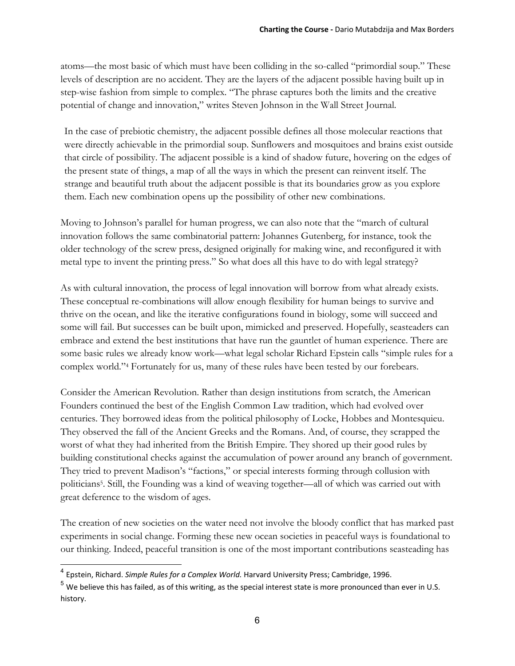atoms—the most basic of which must have been colliding in the so-called "primordial soup." These levels of description are no accident. They are the layers of the adjacent possible having built up in step-wise fashion from simple to complex. "The phrase captures both the limits and the creative potential of change and innovation," writes Steven Johnson in the Wall Street Journal*.*

In the case of prebiotic chemistry, the adjacent possible defines all those molecular reactions that were directly achievable in the primordial soup. Sunflowers and mosquitoes and brains exist outside that circle of possibility. The adjacent possible is a kind of shadow future, hovering on the edges of the present state of things, a map of all the ways in which the present can reinvent itself. The strange and beautiful truth about the adjacent possible is that its boundaries grow as you explore them. Each new combination opens up the possibility of other new combinations.

Moving to Johnson's parallel for human progress, we can also note that the "march of cultural innovation follows the same combinatorial pattern: Johannes Gutenberg, for instance, took the older technology of the screw press, designed originally for making wine, and reconfigured it with metal type to invent the printing press." So what does all this have to do with legal strategy?

As with cultural innovation, the process of legal innovation will borrow from what already exists. These conceptual re-combinations will allow enough flexibility for human beings to survive and thrive on the ocean, and like the iterative configurations found in biology, some will succeed and some will fail. But successes can be built upon, mimicked and preserved. Hopefully, seasteaders can embrace and extend the best institutions that have run the gauntlet of human experience. There are some basic rules we already know work—what legal scholar Richard Epstein calls "simple rules for a complex world."4 Fortunately for us, many of these rules have been tested by our forebears.

Consider the American Revolution. Rather than design institutions from scratch, the American Founders continued the best of the English Common Law tradition, which had evolved over centuries. They borrowed ideas from the political philosophy of Locke, Hobbes and Montesquieu. They observed the fall of the Ancient Greeks and the Romans. And, of course, they scrapped the worst of what they had inherited from the British Empire. They shored up their good rules by building constitutional checks against the accumulation of power around any branch of government. They tried to prevent Madison's "factions," or special interests forming through collusion with politicians5. Still, the Founding was a kind of weaving together—all of which was carried out with great deference to the wisdom of ages.

The creation of new societies on the water need not involve the bloody conflict that has marked past experiments in social change. Forming these new ocean societies in peaceful ways is foundational to our thinking. Indeed, peaceful transition is one of the most important contributions seasteading has

<sup>4</sup> Epstein, Richard. *Simple Rules for a Complex World.* Harvard University Press; Cambridge, 1996.

 $5$  We believe this has failed, as of this writing, as the special interest state is more pronounced than ever in U.S. history.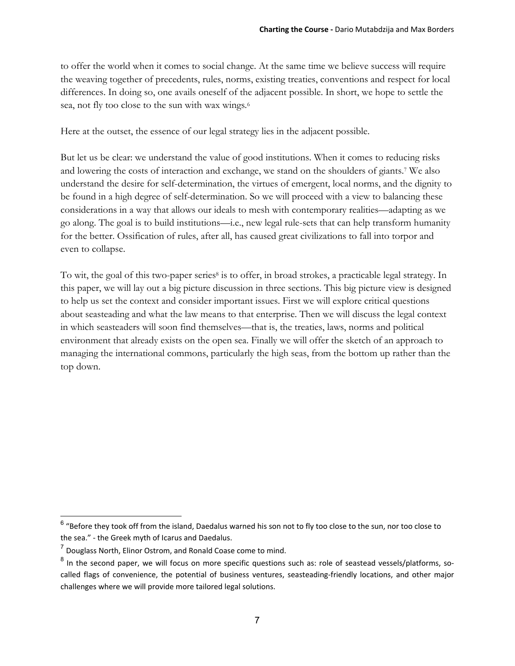to offer the world when it comes to social change. At the same time we believe success will require the weaving together of precedents, rules, norms, existing treaties, conventions and respect for local differences. In doing so, one avails oneself of the adjacent possible. In short, we hope to settle the sea, not fly too close to the sun with wax wings*.*<sup>6</sup>

Here at the outset, the essence of our legal strategy lies in the adjacent possible.

But let us be clear: we understand the value of good institutions. When it comes to reducing risks and lowering the costs of interaction and exchange, we stand on the shoulders of giants.7 We also understand the desire for self-determination, the virtues of emergent, local norms, and the dignity to be found in a high degree of self-determination. So we will proceed with a view to balancing these considerations in a way that allows our ideals to mesh with contemporary realities—adapting as we go along. The goal is to build institutions—i.e., new legal rule-sets that can help transform humanity for the better. Ossification of rules, after all, has caused great civilizations to fall into torpor and even to collapse.

To wit, the goal of this two-paper series<sup>8</sup> is to offer, in broad strokes, a practicable legal strategy. In this paper, we will lay out a big picture discussion in three sections. This big picture view is designed to help us set the context and consider important issues. First we will explore critical questions about seasteading and what the law means to that enterprise. Then we will discuss the legal context in which seasteaders will soon find themselves—that is, the treaties, laws, norms and political environment that already exists on the open sea. Finally we will offer the sketch of an approach to managing the international commons, particularly the high seas, from the bottom up rather than the top down.

 $^6$  "Before they took off from the island, Daedalus warned his son not to fly too close to the sun, nor too close to the sea." ‐ the Greek myth of Icarus and Daedalus.

 $<sup>7</sup>$  Douglass North, Elinor Ostrom, and Ronald Coase come to mind.</sup>

<sup>&</sup>lt;sup>8</sup> In the second paper, we will focus on more specific questions such as: role of seastead vessels/platforms, socalled flags of convenience, the potential of business ventures, seasteading‐friendly locations, and other major challenges where we will provide more tailored legal solutions.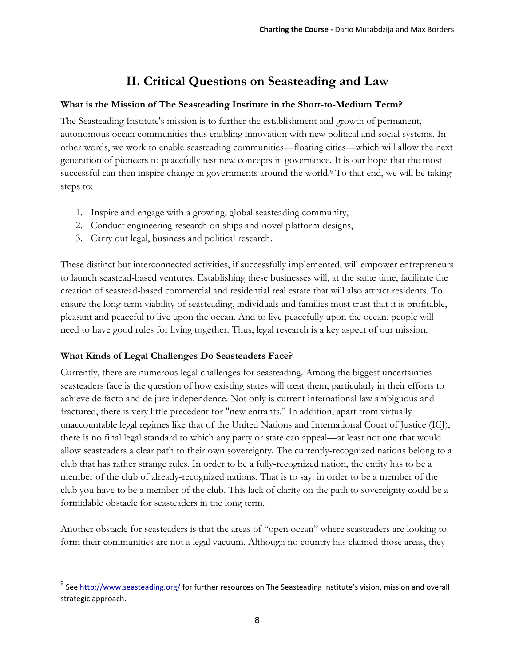# **II. Critical Questions on Seasteading and Law**

### **What is the Mission of The Seasteading Institute in the Short-to-Medium Term?**

The Seasteading Institute's mission is to further the establishment and growth of permanent, autonomous ocean communities thus enabling innovation with new political and social systems. In other words, we work to enable seasteading communities—floating cities—which will allow the next generation of pioneers to peacefully test new concepts in governance. It is our hope that the most successful can then inspire change in governments around the world.<sup>9</sup> To that end, we will be taking steps to:

- 1. Inspire and engage with a growing, global seasteading community,
- 2. Conduct engineering research on ships and novel platform designs,
- 3. Carry out legal, business and political research.

These distinct but interconnected activities, if successfully implemented, will empower entrepreneurs to launch seastead-based ventures. Establishing these businesses will, at the same time, facilitate the creation of seastead-based commercial and residential real estate that will also attract residents. To ensure the long-term viability of seasteading, individuals and families must trust that it is profitable, pleasant and peaceful to live upon the ocean. And to live peacefully upon the ocean, people will need to have good rules for living together. Thus, legal research is a key aspect of our mission.

# **What Kinds of Legal Challenges Do Seasteaders Face?**

 $\overline{a}$ 

Currently, there are numerous legal challenges for seasteading. Among the biggest uncertainties seasteaders face is the question of how existing states will treat them, particularly in their efforts to achieve de facto and de jure independence. Not only is current international law ambiguous and fractured, there is very little precedent for "new entrants." In addition, apart from virtually unaccountable legal regimes like that of the United Nations and International Court of Justice (ICJ), there is no final legal standard to which any party or state can appeal—at least not one that would allow seasteaders a clear path to their own sovereignty. The currently-recognized nations belong to a club that has rather strange rules. In order to be a fully-recognized nation, the entity has to be a member of the club of already-recognized nations. That is to say: in order to be a member of the club you have to be a member of the club. This lack of clarity on the path to sovereignty could be a formidable obstacle for seasteaders in the long term.

Another obstacle for seasteaders is that the areas of "open ocean" where seasteaders are looking to form their communities are not a legal vacuum. Although no country has claimed those areas, they

<sup>&</sup>lt;sup>9</sup> See http://www.seasteading.org/ for further resources on The Seasteading Institute's vision, mission and overall strategic approach.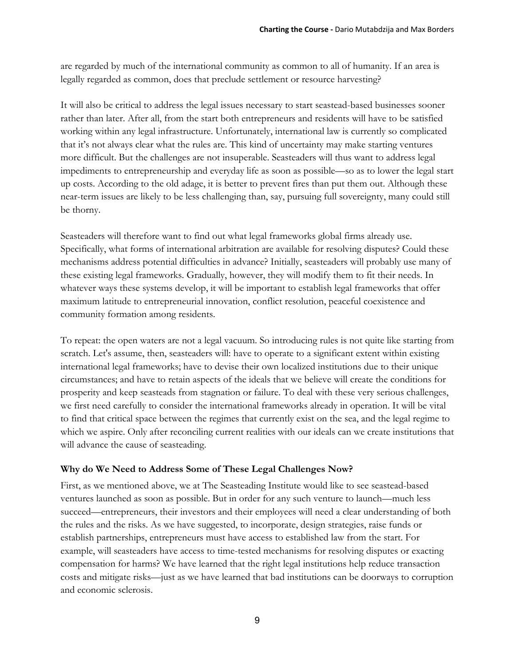are regarded by much of the international community as common to all of humanity. If an area is legally regarded as common, does that preclude settlement or resource harvesting?

It will also be critical to address the legal issues necessary to start seastead-based businesses sooner rather than later. After all, from the start both entrepreneurs and residents will have to be satisfied working within any legal infrastructure. Unfortunately, international law is currently so complicated that it's not always clear what the rules are. This kind of uncertainty may make starting ventures more difficult. But the challenges are not insuperable. Seasteaders will thus want to address legal impediments to entrepreneurship and everyday life as soon as possible—so as to lower the legal start up costs. According to the old adage, it is better to prevent fires than put them out. Although these near-term issues are likely to be less challenging than, say, pursuing full sovereignty, many could still be thorny.

Seasteaders will therefore want to find out what legal frameworks global firms already use. Specifically, what forms of international arbitration are available for resolving disputes? Could these mechanisms address potential difficulties in advance? Initially, seasteaders will probably use many of these existing legal frameworks. Gradually, however, they will modify them to fit their needs. In whatever ways these systems develop, it will be important to establish legal frameworks that offer maximum latitude to entrepreneurial innovation, conflict resolution, peaceful coexistence and community formation among residents.

To repeat: the open waters are not a legal vacuum. So introducing rules is not quite like starting from scratch. Let's assume, then, seasteaders will: have to operate to a significant extent within existing international legal frameworks; have to devise their own localized institutions due to their unique circumstances; and have to retain aspects of the ideals that we believe will create the conditions for prosperity and keep seasteads from stagnation or failure. To deal with these very serious challenges, we first need carefully to consider the international frameworks already in operation. It will be vital to find that critical space between the regimes that currently exist on the sea, and the legal regime to which we aspire. Only after reconciling current realities with our ideals can we create institutions that will advance the cause of seasteading.

# **Why do We Need to Address Some of These Legal Challenges Now?**

First, as we mentioned above, we at The Seasteading Institute would like to see seastead-based ventures launched as soon as possible. But in order for any such venture to launch—much less succeed—entrepreneurs, their investors and their employees will need a clear understanding of both the rules and the risks. As we have suggested, to incorporate, design strategies, raise funds or establish partnerships, entrepreneurs must have access to established law from the start. For example, will seasteaders have access to time-tested mechanisms for resolving disputes or exacting compensation for harms? We have learned that the right legal institutions help reduce transaction costs and mitigate risks—just as we have learned that bad institutions can be doorways to corruption and economic sclerosis.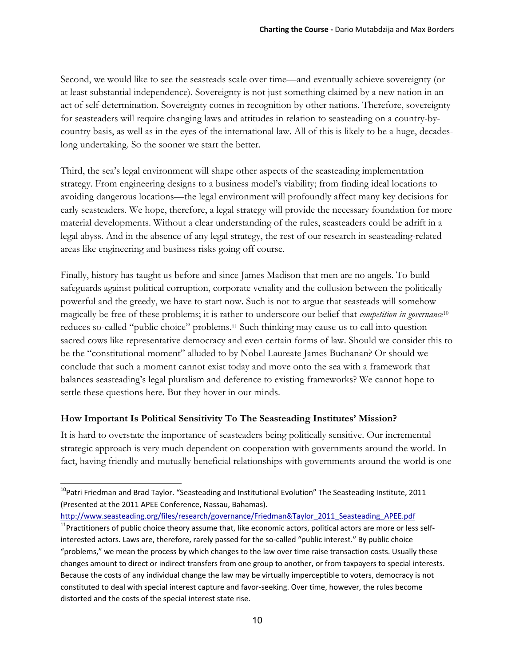Second, we would like to see the seasteads scale over time—and eventually achieve sovereignty (or at least substantial independence). Sovereignty is not just something claimed by a new nation in an act of self-determination. Sovereignty comes in recognition by other nations. Therefore, sovereignty for seasteaders will require changing laws and attitudes in relation to seasteading on a country-bycountry basis, as well as in the eyes of the international law. All of this is likely to be a huge, decadeslong undertaking. So the sooner we start the better.

Third, the sea's legal environment will shape other aspects of the seasteading implementation strategy. From engineering designs to a business model's viability; from finding ideal locations to avoiding dangerous locations—the legal environment will profoundly affect many key decisions for early seasteaders. We hope, therefore, a legal strategy will provide the necessary foundation for more material developments. Without a clear understanding of the rules, seasteaders could be adrift in a legal abyss. And in the absence of any legal strategy, the rest of our research in seasteading-related areas like engineering and business risks going off course.

Finally, history has taught us before and since James Madison that men are no angels. To build safeguards against political corruption, corporate venality and the collusion between the politically powerful and the greedy, we have to start now. Such is not to argue that seasteads will somehow magically be free of these problems; it is rather to underscore our belief that *competition in governance*<sup>10</sup> reduces so-called "public choice" problems.11 Such thinking may cause us to call into question sacred cows like representative democracy and even certain forms of law. Should we consider this to be the "constitutional moment" alluded to by Nobel Laureate James Buchanan? Or should we conclude that such a moment cannot exist today and move onto the sea with a framework that balances seasteading's legal pluralism and deference to existing frameworks? We cannot hope to settle these questions here. But they hover in our minds.

# **How Important Is Political Sensitivity To The Seasteading Institutes' Mission?**

It is hard to overstate the importance of seasteaders being politically sensitive. Our incremental strategic approach is very much dependent on cooperation with governments around the world. In fact, having friendly and mutually beneficial relationships with governments around the world is one

 $10$ Patri Friedman and Brad Taylor. "Seasteading and Institutional Evolution" The Seasteading Institute, 2011 (Presented at the 2011 APEE Conference, Nassau, Bahamas).

http://www.seasteading.org/files/research/governance/Friedman&Taylor\_2011\_Seasteading\_APEE.pdf

<sup>&</sup>lt;sup>11</sup>Practitioners of public choice theory assume that, like economic actors, political actors are more or less selfinterested actors. Laws are, therefore, rarely passed for the so-called "public interest." By public choice "problems," we mean the process by which changes to the law over time raise transaction costs. Usually these changes amount to direct or indirect transfers from one group to another, or from taxpayers to special interests. Because the costs of any individual change the law may be virtually imperceptible to voters, democracy is not constituted to deal with special interest capture and favor-seeking. Over time, however, the rules become distorted and the costs of the special interest state rise.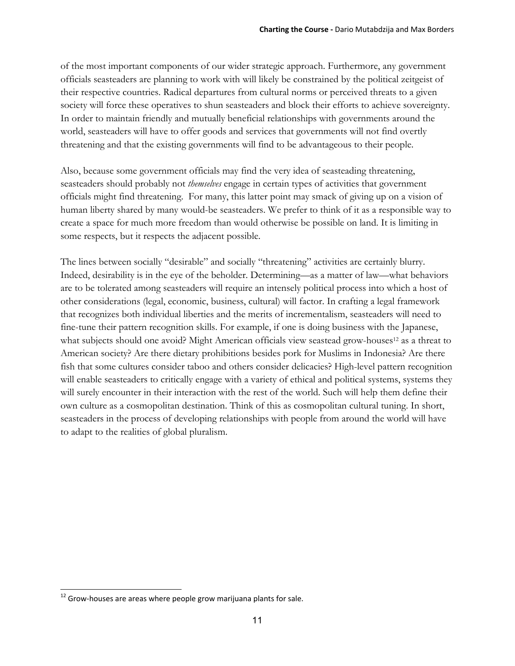of the most important components of our wider strategic approach. Furthermore, any government officials seasteaders are planning to work with will likely be constrained by the political zeitgeist of their respective countries. Radical departures from cultural norms or perceived threats to a given society will force these operatives to shun seasteaders and block their efforts to achieve sovereignty. In order to maintain friendly and mutually beneficial relationships with governments around the world, seasteaders will have to offer goods and services that governments will not find overtly threatening and that the existing governments will find to be advantageous to their people.

Also, because some government officials may find the very idea of seasteading threatening, seasteaders should probably not *themselves* engage in certain types of activities that government officials might find threatening. For many, this latter point may smack of giving up on a vision of human liberty shared by many would-be seasteaders. We prefer to think of it as a responsible way to create a space for much more freedom than would otherwise be possible on land. It is limiting in some respects, but it respects the adjacent possible.

The lines between socially "desirable" and socially "threatening" activities are certainly blurry. Indeed, desirability is in the eye of the beholder. Determining—as a matter of law—what behaviors are to be tolerated among seasteaders will require an intensely political process into which a host of other considerations (legal, economic, business, cultural) will factor. In crafting a legal framework that recognizes both individual liberties and the merits of incrementalism, seasteaders will need to fine-tune their pattern recognition skills. For example, if one is doing business with the Japanese, what subjects should one avoid? Might American officials view seastead grow-houses<sup>12</sup> as a threat to American society? Are there dietary prohibitions besides pork for Muslims in Indonesia? Are there fish that some cultures consider taboo and others consider delicacies? High-level pattern recognition will enable seasteaders to critically engage with a variety of ethical and political systems, systems they will surely encounter in their interaction with the rest of the world. Such will help them define their own culture as a cosmopolitan destination. Think of this as cosmopolitan cultural tuning. In short, seasteaders in the process of developing relationships with people from around the world will have to adapt to the realities of global pluralism.

  $12$  Grow-houses are areas where people grow marijuana plants for sale.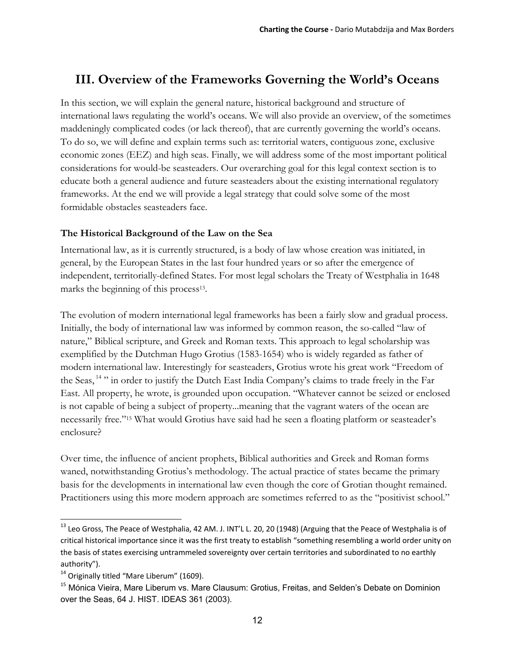# **III. Overview of the Frameworks Governing the World's Oceans**

In this section, we will explain the general nature, historical background and structure of international laws regulating the world's oceans. We will also provide an overview, of the sometimes maddeningly complicated codes (or lack thereof), that are currently governing the world's oceans. To do so, we will define and explain terms such as: territorial waters, contiguous zone, exclusive economic zones (EEZ) and high seas. Finally, we will address some of the most important political considerations for would-be seasteaders. Our overarching goal for this legal context section is to educate both a general audience and future seasteaders about the existing international regulatory frameworks. At the end we will provide a legal strategy that could solve some of the most formidable obstacles seasteaders face.

### **The Historical Background of the Law on the Sea**

International law, as it is currently structured, is a body of law whose creation was initiated, in general, by the European States in the last four hundred years or so after the emergence of independent, territorially-defined States. For most legal scholars the Treaty of Westphalia in 1648 marks the beginning of this process<sup>13</sup>.

The evolution of modern international legal frameworks has been a fairly slow and gradual process. Initially, the body of international law was informed by common reason, the so-called "law of nature," Biblical scripture, and Greek and Roman texts. This approach to legal scholarship was exemplified by the Dutchman Hugo Grotius (1583-1654) who is widely regarded as father of modern international law. Interestingly for seasteaders, Grotius wrote his great work "Freedom of the Seas, 14 " in order to justify the Dutch East India Company's claims to trade freely in the Far East. All property, he wrote, is grounded upon occupation. "Whatever cannot be seized or enclosed is not capable of being a subject of property...meaning that the vagrant waters of the ocean are necessarily free."15 What would Grotius have said had he seen a floating platform or seasteader's enclosure?

Over time, the influence of ancient prophets, Biblical authorities and Greek and Roman forms waned, notwithstanding Grotius's methodology. The actual practice of states became the primary basis for the developments in international law even though the core of Grotian thought remained. Practitioners using this more modern approach are sometimes referred to as the "positivist school."

<sup>&</sup>lt;sup>13</sup> Leo Gross, The Peace of Westphalia, 42 AM. J. INT'L L. 20, 20 (1948) (Arguing that the Peace of Westphalia is of critical historical importance since it was the first treaty to establish "something resembling a world order unity on the basis of states exercising untrammeled sovereignty over certain territories and subordinated to no earthly authority").

<sup>&</sup>lt;sup>14</sup> Originally titled "Mare Liberum" (1609).

<sup>&</sup>lt;sup>15</sup> Mónica Vieira, Mare Liberum vs. Mare Clausum: Grotius, Freitas, and Selden's Debate on Dominion over the Seas, 64 J. HIST. IDEAS 361 (2003).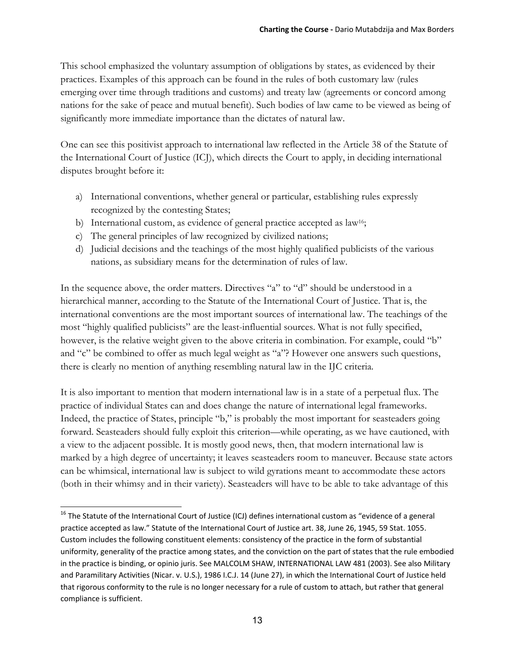This school emphasized the voluntary assumption of obligations by states, as evidenced by their practices. Examples of this approach can be found in the rules of both customary law (rules emerging over time through traditions and customs) and treaty law (agreements or concord among nations for the sake of peace and mutual benefit). Such bodies of law came to be viewed as being of significantly more immediate importance than the dictates of natural law.

One can see this positivist approach to international law reflected in the Article 38 of the Statute of the International Court of Justice (ICJ), which directs the Court to apply, in deciding international disputes brought before it:

- a) International conventions, whether general or particular, establishing rules expressly recognized by the contesting States;
- b) International custom, as evidence of general practice accepted as law<sup>16</sup>;
- c) The general principles of law recognized by civilized nations;
- d) Judicial decisions and the teachings of the most highly qualified publicists of the various nations, as subsidiary means for the determination of rules of law.

In the sequence above, the order matters. Directives "a" to "d" should be understood in a hierarchical manner, according to the Statute of the International Court of Justice. That is, the international conventions are the most important sources of international law. The teachings of the most "highly qualified publicists" are the least-influential sources. What is not fully specified, however, is the relative weight given to the above criteria in combination. For example, could "b" and "c" be combined to offer as much legal weight as "a"? However one answers such questions, there is clearly no mention of anything resembling natural law in the IJC criteria.

It is also important to mention that modern international law is in a state of a perpetual flux. The practice of individual States can and does change the nature of international legal frameworks. Indeed, the practice of States, principle "b," is probably the most important for seasteaders going forward. Seasteaders should fully exploit this criterion—while operating, as we have cautioned, with a view to the adjacent possible. It is mostly good news, then, that modern international law is marked by a high degree of uncertainty; it leaves seasteaders room to maneuver. Because state actors can be whimsical, international law is subject to wild gyrations meant to accommodate these actors (both in their whimsy and in their variety). Seasteaders will have to be able to take advantage of this

  $^{16}$  The Statute of the International Court of Justice (ICJ) defines international custom as "evidence of a general practice accepted as law." Statute of the International Court of Justice art. 38, June 26, 1945, 59 Stat. 1055. Custom includes the following constituent elements: consistency of the practice in the form of substantial uniformity, generality of the practice among states, and the conviction on the part of states that the rule embodied in the practice is binding, or opinio juris. See MALCOLM SHAW, INTERNATIONAL LAW 481 (2003). See also Military and Paramilitary Activities (Nicar. v. U.S.), 1986 I.C.J. 14 (June 27), in which the International Court of Justice held that rigorous conformity to the rule is no longer necessary for a rule of custom to attach, but rather that general compliance is sufficient.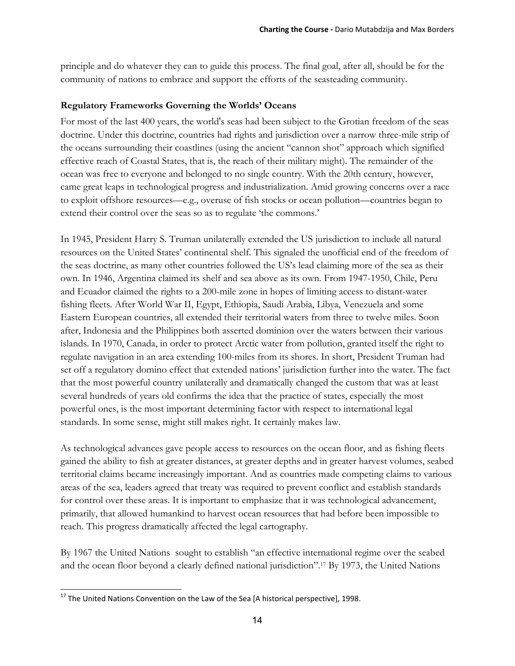principle and do whatever they can to guide this process. The final goal, after all, should be for the community of nations to embrace and support the efforts of the seasteading community.

### **Regulatory Frameworks Governing the Worlds' Oceans**

For most of the last 400 years, the world's seas had been subject to the Grotian freedom of the seas doctrine. Under this doctrine, countries had rights and jurisdiction over a narrow three-mile strip of the oceans surrounding their coastlines (using the ancient "cannon shot" approach which signified effective reach of Coastal States, that is, the reach of their military might). The remainder of the ocean was free to everyone and belonged to no single country. With the 20th century, however, came great leaps in technological progress and industrialization. Amid growing concerns over a race to exploit offshore resources—e.g., overuse of fish stocks or ocean pollution—countries began to extend their control over the seas so as to regulate 'the commons.'

In 1945, President Harry S. Truman unilaterally extended the US jurisdiction to include all natural resources on the United States' continental shelf. This signaled the unofficial end of the freedom of the seas doctrine, as many other countries followed the US's lead claiming more of the sea as their own. In 1946, Argentina claimed its shelf and sea above as its own. From 1947-1950, Chile, Peru and Ecuador claimed the rights to a 200-mile zone in hopes of limiting access to distant-water fishing fleets. After World War II, Egypt, Ethiopia, Saudi Arabia, Libya, Venezuela and some Eastern European countries, all extended their territorial waters from three to twelve miles. Soon after, Indonesia and the Philippines both asserted dominion over the waters between their various islands. In 1970, Canada, in order to protect Arctic water from pollution, granted itself the right to regulate navigation in an area extending 100-miles from its shores. In short, President Truman had set off a regulatory domino effect that extended nations' jurisdiction further into the water. The fact that the most powerful country unilaterally and dramatically changed the custom that was at least several hundreds of years old confirms the idea that the practice of states, especially the most powerful ones, is the most important determining factor with respect to international legal standards. In some sense, might still makes right. It certainly makes law.

As technological advances gave people access to resources on the ocean floor, and as fishing fleets gained the ability to fish at greater distances, at greater depths and in greater harvest volumes, seabed territorial claims became increasingly important. And as countries made competing claims to various areas of the sea, leaders agreed that treaty was required to prevent conflict and establish standards for control over these areas. It is important to emphasize that it was technological advancement, primarily, that allowed humankind to harvest ocean resources that had before been impossible to reach. This progress dramatically affected the legal cartography.

By 1967 the United Nations sought to establish "an effective international regime over the seabed and the ocean floor beyond a clearly defined national jurisdiction".17 By 1973, the United Nations

  $^{17}$  The United Nations Convention on the Law of the Sea [A historical perspective], 1998.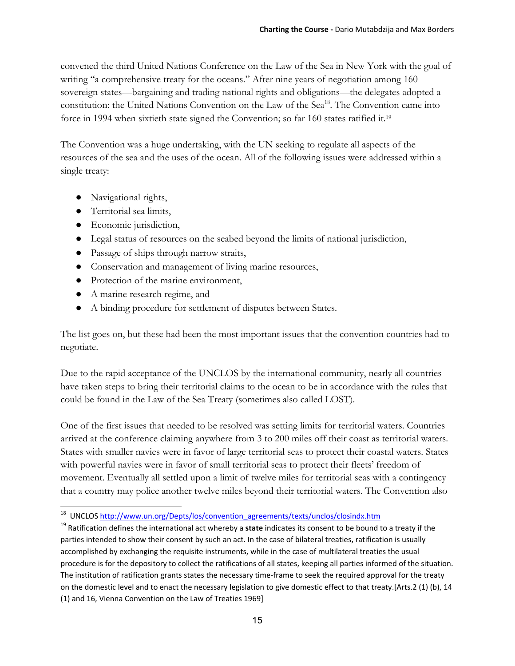convened the third United Nations Conference on the Law of the Sea in New York with the goal of writing "a comprehensive treaty for the oceans." After nine years of negotiation among 160 sovereign states—bargaining and trading national rights and obligations—the delegates adopted a constitution: the United Nations Convention on the Law of the Sea<sup>18</sup>. The Convention came into force in 1994 when sixtieth state signed the Convention; so far 160 states ratified it.19

The Convention was a huge undertaking, with the UN seeking to regulate all aspects of the resources of the sea and the uses of the ocean. All of the following issues were addressed within a single treaty:

- Navigational rights,
- Territorial sea limits,
- Economic jurisdiction,
- Legal status of resources on the seabed beyond the limits of national jurisdiction,
- Passage of ships through narrow straits,
- Conservation and management of living marine resources,
- Protection of the marine environment,
- A marine research regime, and
- A binding procedure for settlement of disputes between States.

The list goes on, but these had been the most important issues that the convention countries had to negotiate.

Due to the rapid acceptance of the UNCLOS by the international community, nearly all countries have taken steps to bring their territorial claims to the ocean to be in accordance with the rules that could be found in the Law of the Sea Treaty (sometimes also called LOST).

One of the first issues that needed to be resolved was setting limits for territorial waters. Countries arrived at the conference claiming anywhere from 3 to 200 miles off their coast as territorial waters. States with smaller navies were in favor of large territorial seas to protect their coastal waters. States with powerful navies were in favor of small territorial seas to protect their fleets' freedom of movement. Eventually all settled upon a limit of twelve miles for territorial seas with a contingency that a country may police another twelve miles beyond their territorial waters. The Convention also

 <sup>18</sup> UNCLOS http://www.un.org/Depts/los/convention\_agreements/texts/unclos/closindx.htm

<sup>19</sup> Ratification defines the international act whereby a **state** indicates its consent to be bound to a treaty if the parties intended to show their consent by such an act. In the case of bilateral treaties, ratification is usually accomplished by exchanging the requisite instruments, while in the case of multilateral treaties the usual procedure is for the depository to collect the ratifications of all states, keeping all parties informed of the situation. The institution of ratification grants states the necessary time-frame to seek the required approval for the treaty on the domestic level and to enact the necessary legislation to give domestic effect to that treaty.[Arts.2 (1) (b), 14 (1) and 16, Vienna Convention on the Law of Treaties 1969]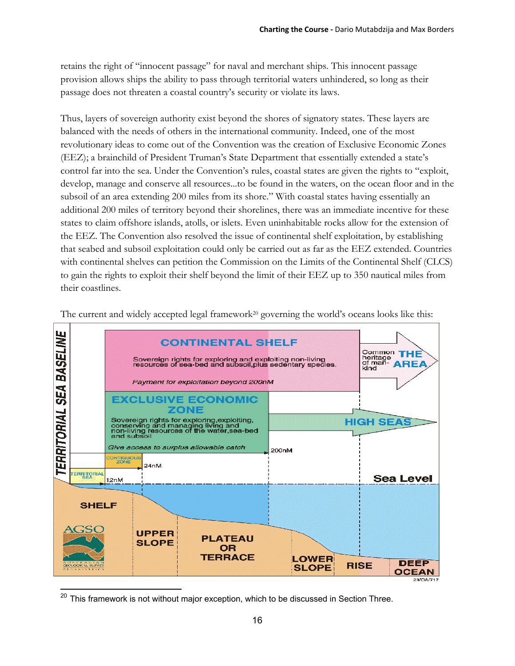retains the right of "innocent passage" for naval and merchant ships. This innocent passage provision allows ships the ability to pass through territorial waters unhindered, so long as their passage does not threaten a coastal country's security or violate its laws.

Thus, layers of sovereign authority exist beyond the shores of signatory states. These layers are balanced with the needs of others in the international community. Indeed, one of the most revolutionary ideas to come out of the Convention was the creation of Exclusive Economic Zones (EEZ); a brainchild of President Truman's State Department that essentially extended a state's control far into the sea. Under the Convention's rules, coastal states are given the rights to "exploit, develop, manage and conserve all resources...to be found in the waters, on the ocean floor and in the subsoil of an area extending 200 miles from its shore." With coastal states having essentially an additional 200 miles of territory beyond their shorelines, there was an immediate incentive for these states to claim offshore islands, atolls, or islets. Even uninhabitable rocks allow for the extension of the EEZ. The Convention also resolved the issue of continental shelf exploitation, by establishing that seabed and subsoil exploitation could only be carried out as far as the EEZ extended. Countries with continental shelves can petition the Commission on the Limits of the Continental Shelf (CLCS) to gain the rights to exploit their shelf beyond the limit of their EEZ up to 350 nautical miles from their coastlines.



The current and widely accepted legal framework<sup>20</sup> governing the world's oceans looks like this:

 $20$  This framework is not without major exception, which to be discussed in Section Three.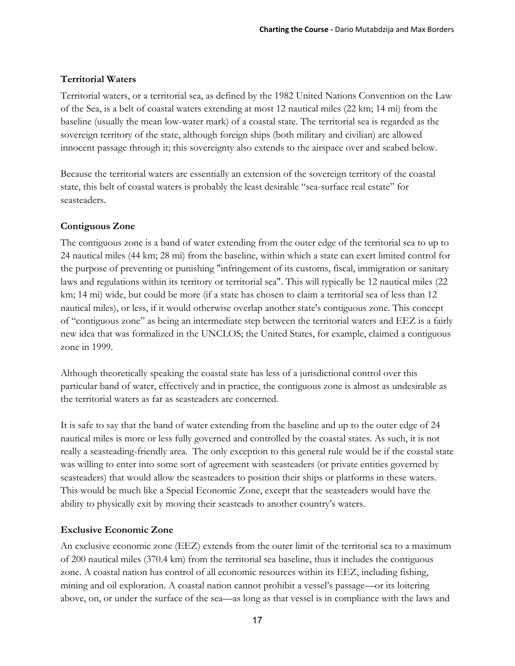# **Territorial Waters**

Territorial waters, or a territorial sea, as defined by the 1982 United Nations Convention on the Law of the Sea, is a belt of coastal waters extending at most 12 nautical miles (22 km; 14 mi) from the baseline (usually the mean low-water mark) of a coastal state. The territorial sea is regarded as the sovereign territory of the state, although foreign ships (both military and civilian) are allowed innocent passage through it; this sovereignty also extends to the airspace over and seabed below.

Because the territorial waters are essentially an extension of the sovereign territory of the coastal state, this belt of coastal waters is probably the least desirable "sea-surface real estate" for seasteaders.

#### **Contiguous Zone**

The contiguous zone is a band of water extending from the outer edge of the territorial sea to up to 24 nautical miles (44 km; 28 mi) from the baseline, within which a state can exert limited control for the purpose of preventing or punishing "infringement of its customs, fiscal, immigration or sanitary laws and regulations within its territory or territorial sea". This will typically be 12 nautical miles (22 km; 14 mi) wide, but could be more (if a state has chosen to claim a territorial sea of less than 12 nautical miles), or less, if it would otherwise overlap another state's contiguous zone. This concept of "contiguous zone" as being an intermediate step between the territorial waters and EEZ is a fairly new idea that was formalized in the UNCLOS; the United States, for example, claimed a contiguous zone in 1999.

Although theoretically speaking the coastal state has less of a jurisdictional control over this particular band of water, effectively and in practice, the contiguous zone is almost as undesirable as the territorial waters as far as seasteaders are concerned.

It is safe to say that the band of water extending from the baseline and up to the outer edge of 24 nautical miles is more or less fully governed and controlled by the coastal states. As such, it is not really a seasteading-friendly area. The only exception to this general rule would be if the coastal state was willing to enter into some sort of agreement with seasteaders (or private entities governed by seasteaders) that would allow the seasteaders to position their ships or platforms in these waters. This would be much like a Special Economic Zone, except that the seasteaders would have the ability to physically exit by moving their seasteads to another country's waters.

#### **Exclusive Economic Zone**

An exclusive economic zone (EEZ) extends from the outer limit of the territorial sea to a maximum of 200 nautical miles (370.4 km) from the territorial sea baseline, thus it includes the contiguous zone. A coastal nation has control of all economic resources within its EEZ, including fishing, mining and oil exploration. A coastal nation cannot prohibit a vessel's passage—or its loitering above, on, or under the surface of the sea—as long as that vessel is in compliance with the laws and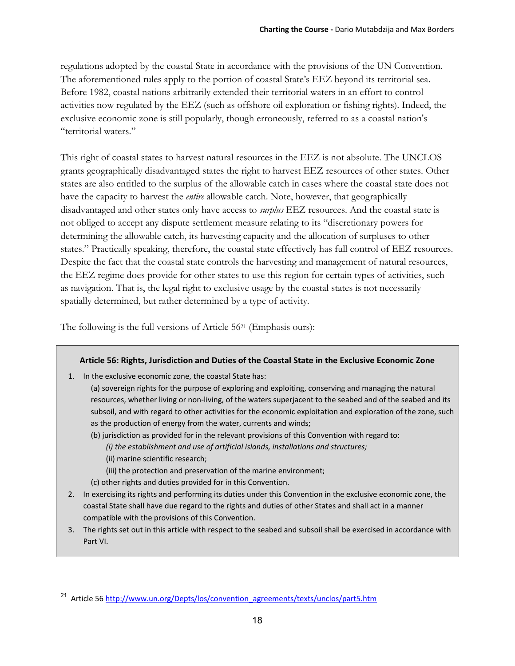regulations adopted by the coastal State in accordance with the provisions of the UN Convention. The aforementioned rules apply to the portion of coastal State's EEZ beyond its territorial sea. Before 1982, coastal nations arbitrarily extended their territorial waters in an effort to control activities now regulated by the EEZ (such as offshore oil exploration or fishing rights). Indeed, the exclusive economic zone is still popularly, though erroneously, referred to as a coastal nation's "territorial waters."

This right of coastal states to harvest natural resources in the EEZ is not absolute. The UNCLOS grants geographically disadvantaged states the right to harvest EEZ resources of other states. Other states are also entitled to the surplus of the allowable catch in cases where the coastal state does not have the capacity to harvest the *entire* allowable catch. Note, however, that geographically disadvantaged and other states only have access to *surplus* EEZ resources. And the coastal state is not obliged to accept any dispute settlement measure relating to its "discretionary powers for determining the allowable catch, its harvesting capacity and the allocation of surpluses to other states." Practically speaking, therefore, the coastal state effectively has full control of EEZ resources. Despite the fact that the coastal state controls the harvesting and management of natural resources, the EEZ regime does provide for other states to use this region for certain types of activities, such as navigation. That is, the legal right to exclusive usage by the coastal states is not necessarily spatially determined, but rather determined by a type of activity.

The following is the full versions of Article 5621 (Emphasis ours):

#### **Article 56: Rights, Jurisdiction and Duties of the Coastal State in the Exclusive Economic Zone**

- 1. In the exclusive economic zone, the coastal State has:
	- (a) sovereign rights for the purpose of exploring and exploiting, conserving and managing the natural resources, whether living or non‐living, of the waters superjacent to the seabed and of the seabed and its subsoil, and with regard to other activities for the economic exploitation and exploration of the zone, such as the production of energy from the water, currents and winds;
	- (b) jurisdiction as provided for in the relevant provisions of this Convention with regard to:
		- *(i) the establishment and use of artificial islands, installations and structures;*
		- (ii) marine scientific research;

- (iii) the protection and preservation of the marine environment;
- (c) other rights and duties provided for in this Convention.
- 2. In exercising its rights and performing its duties under this Convention in the exclusive economic zone, the coastal State shall have due regard to the rights and duties of other States and shall act in a manner compatible with the provisions of this Convention.
- 3. The rights set out in this article with respect to the seabed and subsoil shall be exercised in accordance with Part VI.

<sup>&</sup>lt;sup>21</sup> Article 56 http://www.un.org/Depts/los/convention\_agreements/texts/unclos/part5.htm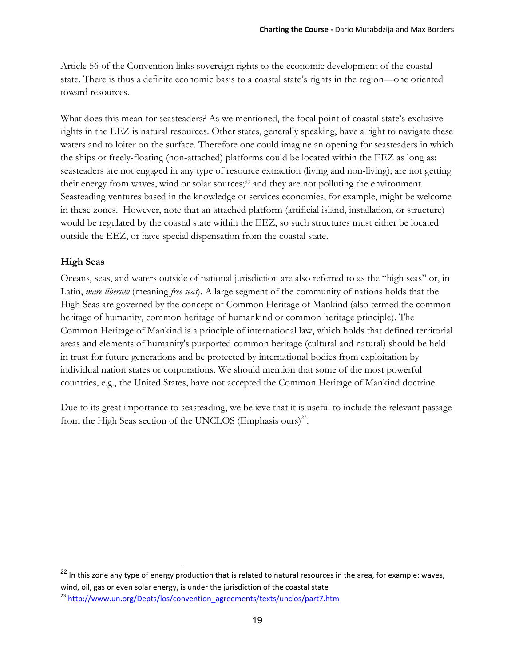Article 56 of the Convention links sovereign rights to the economic development of the coastal state. There is thus a definite economic basis to a coastal state's rights in the region—one oriented toward resources.

What does this mean for seasteaders? As we mentioned, the focal point of coastal state's exclusive rights in the EEZ is natural resources. Other states, generally speaking, have a right to navigate these waters and to loiter on the surface. Therefore one could imagine an opening for seasteaders in which the ships or freely-floating (non-attached) platforms could be located within the EEZ as long as: seasteaders are not engaged in any type of resource extraction (living and non-living); are not getting their energy from waves, wind or solar sources;22 and they are not polluting the environment. Seasteading ventures based in the knowledge or services economies, for example, might be welcome in these zones. However, note that an attached platform (artificial island, installation, or structure) would be regulated by the coastal state within the EEZ, so such structures must either be located outside the EEZ, or have special dispensation from the coastal state.

### **High Seas**

Oceans, seas, and waters outside of national jurisdiction are also referred to as the "high seas" or, in Latin, *mare liberum* (meaning *free seas*). A large segment of the community of nations holds that the High Seas are governed by the concept of Common Heritage of Mankind (also termed the common heritage of humanity, common heritage of humankind or common heritage principle). The Common Heritage of Mankind is a principle of international law, which holds that defined territorial areas and elements of humanity's purported common heritage (cultural and natural) should be held in trust for future generations and be protected by international bodies from exploitation by individual nation states or corporations. We should mention that some of the most powerful countries, e.g., the United States, have not accepted the Common Heritage of Mankind doctrine.

Due to its great importance to seasteading, we believe that it is useful to include the relevant passage from the High Seas section of the UNCLOS (Emphasis ours)<sup>23</sup>.

<sup>&</sup>lt;sup>22</sup> In this zone any type of energy production that is related to natural resources in the area, for example: waves, wind, oil, gas or even solar energy, is under the jurisdiction of the coastal state

<sup>&</sup>lt;sup>23</sup> http://www.un.org/Depts/los/convention\_agreements/texts/unclos/part7.htm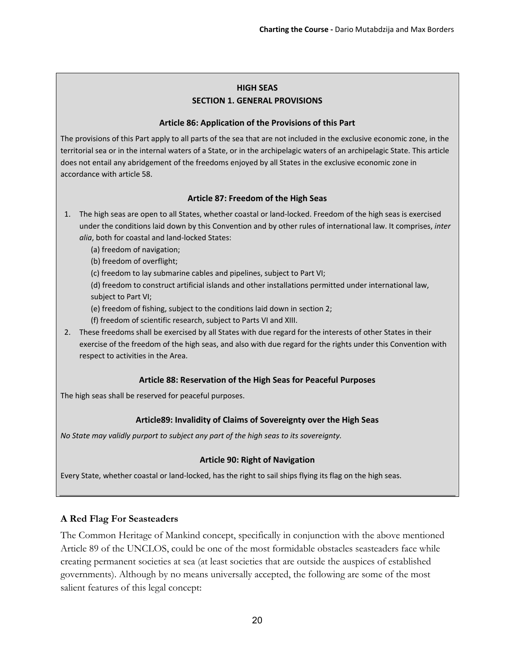#### **HIGH SEAS SECTION 1. GENERAL PROVISIONS**

#### **Article 86: Application of the Provisions of this Part**

The provisions of this Part apply to all parts of the sea that are not included in the exclusive economic zone, in the territorial sea or in the internal waters of a State, or in the archipelagic waters of an archipelagic State. This article does not entail any abridgement of the freedoms enjoyed by all States in the exclusive economic zone in accordance with article 58.

#### **Article 87: Freedom of the High Seas**

- 1. The high seas are open to all States, whether coastal or land‐locked. Freedom of the high seas is exercised under the conditions laid down by this Convention and by other rules of international law. It comprises, *inter alia*, both for coastal and land‐locked States:
	- (a) freedom of navigation;
	- (b) freedom of overflight;
	- (c) freedom to lay submarine cables and pipelines, subject to Part VI;

(d) freedom to construct artificial islands and other installations permitted under international law, subject to Part VI;

(e) freedom of fishing, subject to the conditions laid down in section 2;

- (f) freedom of scientific research, subject to Parts VI and XIII.
- 2. These freedoms shall be exercised by all States with due regard for the interests of other States in their exercise of the freedom of the high seas, and also with due regard for the rights under this Convention with respect to activities in the Area.

#### **Article 88: Reservation of the High Seas for Peaceful Purposes**

The high seas shall be reserved for peaceful purposes.

#### **Article89: Invalidity of Claims of Sovereignty over the High Seas**

*No State may validly purport to subject any part of the high seas to its sovereignty.*

#### **Article 90: Right of Navigation**

Every State, whether coastal or land‐locked, has the right to sail ships flying its flag on the high seas.

#### **A Red Flag For Seasteaders**

The Common Heritage of Mankind concept, specifically in conjunction with the above mentioned Article 89 of the UNCLOS, could be one of the most formidable obstacles seasteaders face while creating permanent societies at sea (at least societies that are outside the auspices of established governments). Although by no means universally accepted, the following are some of the most salient features of this legal concept: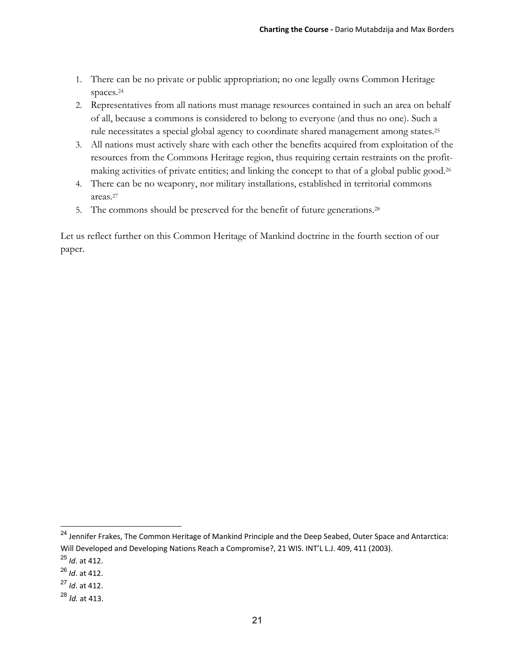- 1. There can be no private or public appropriation; no one legally owns Common Heritage spaces.24
- 2. Representatives from all nations must manage resources contained in such an area on behalf of all, because a commons is considered to belong to everyone (and thus no one). Such a rule necessitates a special global agency to coordinate shared management among states.25
- 3. All nations must actively share with each other the benefits acquired from exploitation of the resources from the Commons Heritage region, thus requiring certain restraints on the profitmaking activities of private entities; and linking the concept to that of a global public good.26
- 4. There can be no weaponry, nor military installations, established in territorial commons areas.27
- 5. The commons should be preserved for the benefit of future generations.28

Let us reflect further on this Common Heritage of Mankind doctrine in the fourth section of our paper.

<sup>&</sup>lt;sup>24</sup> Jennifer Frakes, The Common Heritage of Mankind Principle and the Deep Seabed, Outer Space and Antarctica: Will Developed and Developing Nations Reach a Compromise?, 21 WIS. INT'L L.J. 409, 411 (2003).

<sup>25</sup> *Id*. at 412.

<sup>26</sup> *Id*. at 412.

<sup>27</sup> *Id*. at 412.

<sup>28</sup> *Id.* at 413.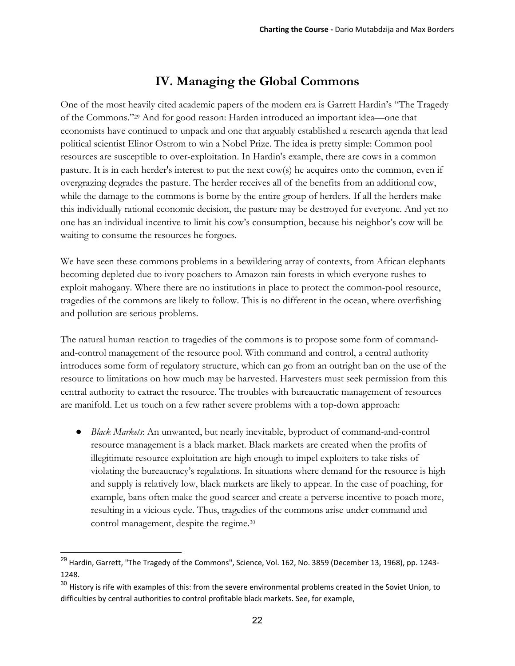# **IV. Managing the Global Commons**

One of the most heavily cited academic papers of the modern era is Garrett Hardin's "The Tragedy of the Commons."29 And for good reason: Harden introduced an important idea—one that economists have continued to unpack and one that arguably established a research agenda that lead political scientist Elinor Ostrom to win a Nobel Prize. The idea is pretty simple: Common pool resources are susceptible to over-exploitation. In Hardin's example, there are cows in a common pasture. It is in each herder's interest to put the next cow(s) he acquires onto the common, even if overgrazing degrades the pasture. The herder receives all of the benefits from an additional cow, while the damage to the commons is borne by the entire group of herders. If all the herders make this individually rational economic decision, the pasture may be destroyed for everyone. And yet no one has an individual incentive to limit his cow's consumption, because his neighbor's cow will be waiting to consume the resources he forgoes.

We have seen these commons problems in a bewildering array of contexts, from African elephants becoming depleted due to ivory poachers to Amazon rain forests in which everyone rushes to exploit mahogany. Where there are no institutions in place to protect the common-pool resource, tragedies of the commons are likely to follow. This is no different in the ocean, where overfishing and pollution are serious problems.

The natural human reaction to tragedies of the commons is to propose some form of commandand-control management of the resource pool. With command and control, a central authority introduces some form of regulatory structure, which can go from an outright ban on the use of the resource to limitations on how much may be harvested. Harvesters must seek permission from this central authority to extract the resource. The troubles with bureaucratic management of resources are manifold. Let us touch on a few rather severe problems with a top-down approach:

● *Black Markets*: An unwanted, but nearly inevitable, byproduct of command-and-control resource management is a black market. Black markets are created when the profits of illegitimate resource exploitation are high enough to impel exploiters to take risks of violating the bureaucracy's regulations. In situations where demand for the resource is high and supply is relatively low, black markets are likely to appear. In the case of poaching, for example, bans often make the good scarcer and create a perverse incentive to poach more, resulting in a vicious cycle. Thus, tragedies of the commons arise under command and control management, despite the regime.30

<sup>&</sup>lt;sup>29</sup> Hardin, Garrett, "The Tragedy of the Commons", Science, Vol. 162, No. 3859 (December 13, 1968), pp. 1243-1248.

<sup>&</sup>lt;sup>30</sup> History is rife with examples of this: from the severe environmental problems created in the Soviet Union, to difficulties by central authorities to control profitable black markets. See, for example,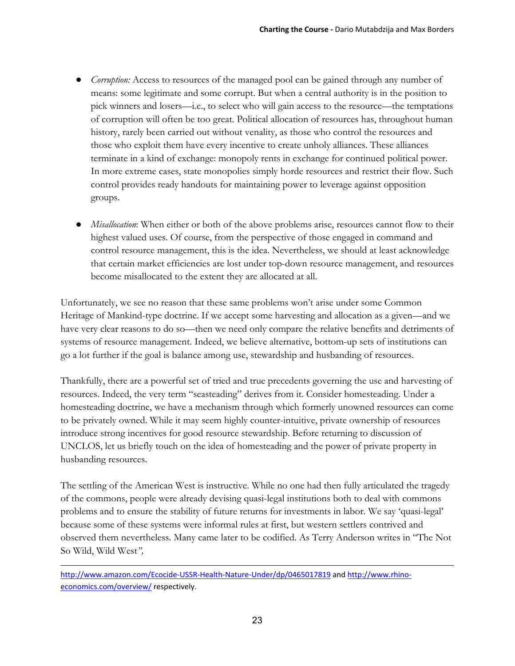- *Corruption:* Access to resources of the managed pool can be gained through any number of means: some legitimate and some corrupt. But when a central authority is in the position to pick winners and losers—i.e., to select who will gain access to the resource—the temptations of corruption will often be too great. Political allocation of resources has, throughout human history, rarely been carried out without venality, as those who control the resources and those who exploit them have every incentive to create unholy alliances. These alliances terminate in a kind of exchange: monopoly rents in exchange for continued political power. In more extreme cases, state monopolies simply horde resources and restrict their flow. Such control provides ready handouts for maintaining power to leverage against opposition groups.
- *Misallocation*: When either or both of the above problems arise, resources cannot flow to their highest valued uses. Of course, from the perspective of those engaged in command and control resource management, this is the idea. Nevertheless, we should at least acknowledge that certain market efficiencies are lost under top-down resource management, and resources become misallocated to the extent they are allocated at all.

Unfortunately, we see no reason that these same problems won't arise under some Common Heritage of Mankind-type doctrine. If we accept some harvesting and allocation as a given—and we have very clear reasons to do so—then we need only compare the relative benefits and detriments of systems of resource management. Indeed, we believe alternative, bottom-up sets of institutions can go a lot further if the goal is balance among use, stewardship and husbanding of resources.

Thankfully, there are a powerful set of tried and true precedents governing the use and harvesting of resources. Indeed, the very term "seasteading" derives from it. Consider homesteading. Under a homesteading doctrine, we have a mechanism through which formerly unowned resources can come to be privately owned. While it may seem highly counter-intuitive, private ownership of resources introduce strong incentives for good resource stewardship. Before returning to discussion of UNCLOS, let us briefly touch on the idea of homesteading and the power of private property in husbanding resources.

The settling of the American West is instructive. While no one had then fully articulated the tragedy of the commons, people were already devising quasi-legal institutions both to deal with commons problems and to ensure the stability of future returns for investments in labor. We say 'quasi-legal' because some of these systems were informal rules at first, but western settlers contrived and observed them nevertheless. Many came later to be codified. As Terry Anderson writes in "The Not So Wild, Wild West*",* 

http://www.amazon.com/Ecocide-USSR-Health-Nature-Under/dp/0465017819 and http://www.rhinoeconomics.com/overview/ respectively.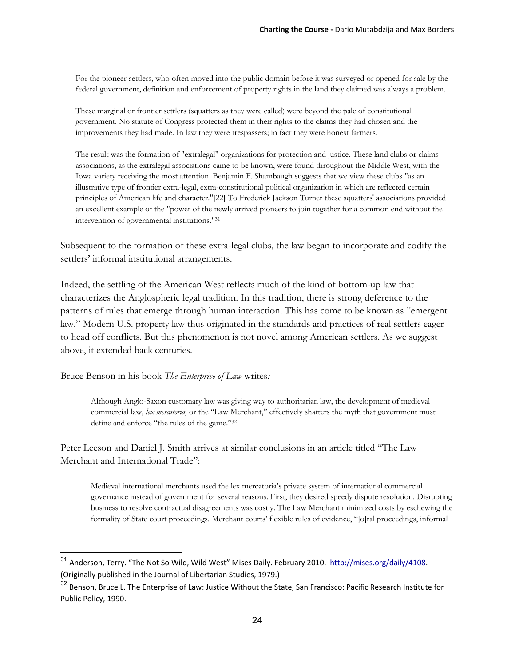For the pioneer settlers, who often moved into the public domain before it was surveyed or opened for sale by the federal government, definition and enforcement of property rights in the land they claimed was always a problem.

These marginal or frontier settlers (squatters as they were called) were beyond the pale of constitutional government. No statute of Congress protected them in their rights to the claims they had chosen and the improvements they had made. In law they were trespassers; in fact they were honest farmers.

The result was the formation of "extralegal" organizations for protection and justice. These land clubs or claims associations, as the extralegal associations came to be known, were found throughout the Middle West, with the Iowa variety receiving the most attention. Benjamin F. Shambaugh suggests that we view these clubs "as an illustrative type of frontier extra-legal, extra-constitutional political organization in which are reflected certain principles of American life and character."[22] To Frederick Jackson Turner these squatters' associations provided an excellent example of the "power of the newly arrived pioneers to join together for a common end without the intervention of governmental institutions."31

Subsequent to the formation of these extra-legal clubs, the law began to incorporate and codify the settlers' informal institutional arrangements.

Indeed, the settling of the American West reflects much of the kind of bottom-up law that characterizes the Anglospheric legal tradition. In this tradition, there is strong deference to the patterns of rules that emerge through human interaction. This has come to be known as "emergent law." Modern U.S. property law thus originated in the standards and practices of real settlers eager to head off conflicts. But this phenomenon is not novel among American settlers. As we suggest above, it extended back centuries.

Bruce Benson in his book *The Enterprise of Law* writes*:*

 $\overline{a}$ 

Although Anglo-Saxon customary law was giving way to authoritarian law, the development of medieval commercial law, *lex mercatoria,* or the "Law Merchant," effectively shatters the myth that government must define and enforce "the rules of the game."32

Peter Leeson and Daniel J. Smith arrives at similar conclusions in an article titled "The Law Merchant and International Trade":

Medieval international merchants used the lex mercatoria's private system of international commercial governance instead of government for several reasons. First, they desired speedy dispute resolution. Disrupting business to resolve contractual disagreements was costly. The Law Merchant minimized costs by eschewing the formality of State court proceedings. Merchant courts' flexible rules of evidence, "[o]ral proceedings, informal

<sup>&</sup>lt;sup>31</sup> Anderson, Terry. "The Not So Wild, Wild West" Mises Daily. February 2010. http://mises.org/daily/4108. (Originally published in the Journal of Libertarian Studies, 1979.)

<sup>&</sup>lt;sup>32</sup> Benson, Bruce L. The Enterprise of Law: Justice Without the State, San Francisco: Pacific Research Institute for Public Policy, 1990.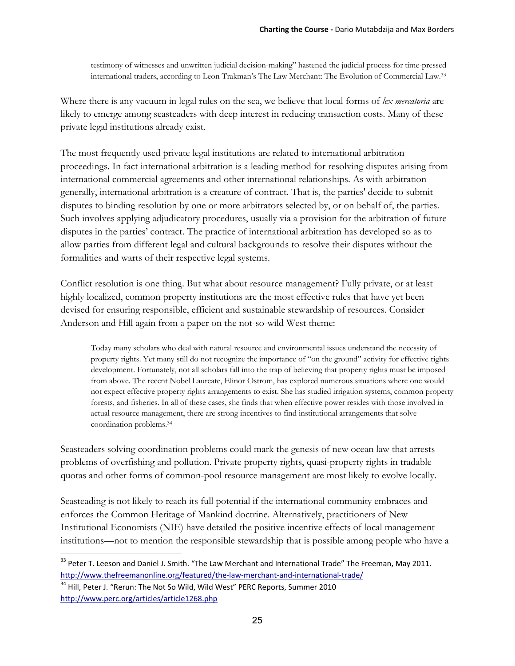testimony of witnesses and unwritten judicial decision-making" hastened the judicial process for time-pressed international traders, according to Leon Trakman's The Law Merchant: The Evolution of Commercial Law.33

Where there is any vacuum in legal rules on the sea, we believe that local forms of *lex mercatoria* are likely to emerge among seasteaders with deep interest in reducing transaction costs. Many of these private legal institutions already exist.

The most frequently used private legal institutions are related to international arbitration proceedings. In fact international arbitration is a leading method for resolving disputes arising from international commercial agreements and other international relationships. As with arbitration generally, international arbitration is a creature of contract. That is, the parties' decide to submit disputes to binding resolution by one or more arbitrators selected by, or on behalf of, the parties. Such involves applying adjudicatory procedures, usually via a provision for the arbitration of future disputes in the parties' contract. The practice of international arbitration has developed so as to allow parties from different legal and cultural backgrounds to resolve their disputes without the formalities and warts of their respective legal systems.

Conflict resolution is one thing. But what about resource management? Fully private, or at least highly localized, common property institutions are the most effective rules that have yet been devised for ensuring responsible, efficient and sustainable stewardship of resources. Consider Anderson and Hill again from a paper on the not-so-wild West theme:

Today many scholars who deal with natural resource and environmental issues understand the necessity of property rights. Yet many still do not recognize the importance of "on the ground" activity for effective rights development. Fortunately, not all scholars fall into the trap of believing that property rights must be imposed from above. The recent Nobel Laureate, Elinor Ostrom, has explored numerous situations where one would not expect effective property rights arrangements to exist. She has studied irrigation systems, common property forests, and fisheries. In all of these cases, she finds that when effective power resides with those involved in actual resource management, there are strong incentives to find institutional arrangements that solve coordination problems.34

Seasteaders solving coordination problems could mark the genesis of new ocean law that arrests problems of overfishing and pollution. Private property rights, quasi-property rights in tradable quotas and other forms of common-pool resource management are most likely to evolve locally.

Seasteading is not likely to reach its full potential if the international community embraces and enforces the Common Heritage of Mankind doctrine. Alternatively, practitioners of New Institutional Economists (NIE) have detailed the positive incentive effects of local management institutions—not to mention the responsible stewardship that is possible among people who have a

<sup>&</sup>lt;sup>33</sup> Peter T. Leeson and Daniel J. Smith. "The Law Merchant and International Trade" The Freeman, May 2011. http://www.thefreemanonline.org/featured/the-law-merchant-and-international-trade/

<sup>&</sup>lt;sup>34</sup> Hill, Peter J. "Rerun: The Not So Wild, Wild West" PERC Reports, Summer 2010 http://www.perc.org/articles/article1268.php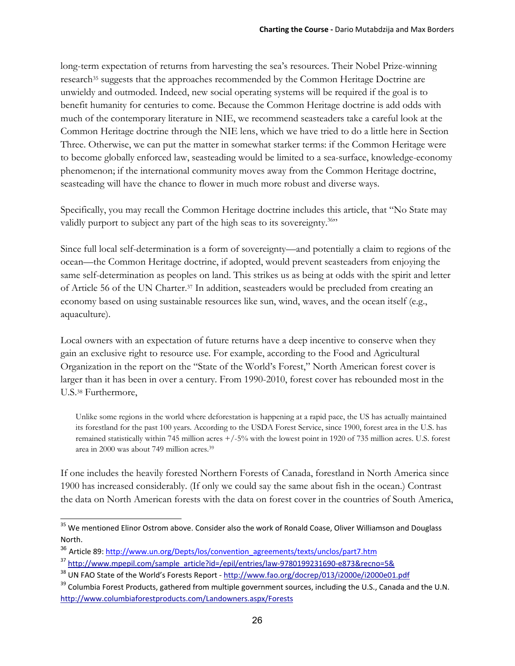long-term expectation of returns from harvesting the sea's resources. Their Nobel Prize-winning research<sup>35</sup> suggests that the approaches recommended by the Common Heritage Doctrine are unwieldy and outmoded. Indeed, new social operating systems will be required if the goal is to benefit humanity for centuries to come. Because the Common Heritage doctrine is add odds with much of the contemporary literature in NIE, we recommend seasteaders take a careful look at the Common Heritage doctrine through the NIE lens, which we have tried to do a little here in Section Three. Otherwise, we can put the matter in somewhat starker terms: if the Common Heritage were to become globally enforced law, seasteading would be limited to a sea-surface, knowledge-economy phenomenon; if the international community moves away from the Common Heritage doctrine, seasteading will have the chance to flower in much more robust and diverse ways.

Specifically, you may recall the Common Heritage doctrine includes this article, that "No State may validly purport to subject any part of the high seas to its sovereignty.<sup>36</sup>"

Since full local self-determination is a form of sovereignty—and potentially a claim to regions of the ocean—the Common Heritage doctrine, if adopted, would prevent seasteaders from enjoying the same self-determination as peoples on land. This strikes us as being at odds with the spirit and letter of Article 56 of the UN Charter.37 In addition, seasteaders would be precluded from creating an economy based on using sustainable resources like sun, wind, waves, and the ocean itself (e.g., aquaculture).

Local owners with an expectation of future returns have a deep incentive to conserve when they gain an exclusive right to resource use. For example, according to the Food and Agricultural Organization in the report on the "State of the World's Forest," North American forest cover is larger than it has been in over a century. From 1990-2010, forest cover has rebounded most in the U.S.38 Furthermore,

Unlike some regions in the world where deforestation is happening at a rapid pace, the US has actually maintained its forestland for the past 100 years. According to the USDA Forest Service, since 1900, forest area in the U.S. has remained statistically within 745 million acres +/-5% with the lowest point in 1920 of 735 million acres. U.S. forest area in 2000 was about 749 million acres.<sup>39</sup>

If one includes the heavily forested Northern Forests of Canada, forestland in North America since 1900 has increased considerably. (If only we could say the same about fish in the ocean.) Contrast the data on North American forests with the data on forest cover in the countries of South America,

<sup>&</sup>lt;sup>35</sup> We mentioned Elinor Ostrom above. Consider also the work of Ronald Coase, Oliver Williamson and Douglass North.

<sup>&</sup>lt;sup>36</sup> Article 89: http://www.un.org/Depts/los/convention\_agreements/texts/unclos/part7.htm

<sup>&</sup>lt;sup>37</sup> http://www.mpepil.com/sample\_article?id=/epil/entries/law-9780199231690-e873&recno=5&

<sup>&</sup>lt;sup>38</sup> UN FAO State of the World's Forests Report - http://www.fao.org/docrep/013/i2000e/i2000e01.pdf

<sup>&</sup>lt;sup>39</sup> Columbia Forest Products, gathered from multiple government sources, including the U.S., Canada and the U.N. http://www.columbiaforestproducts.com/Landowners.aspx/Forests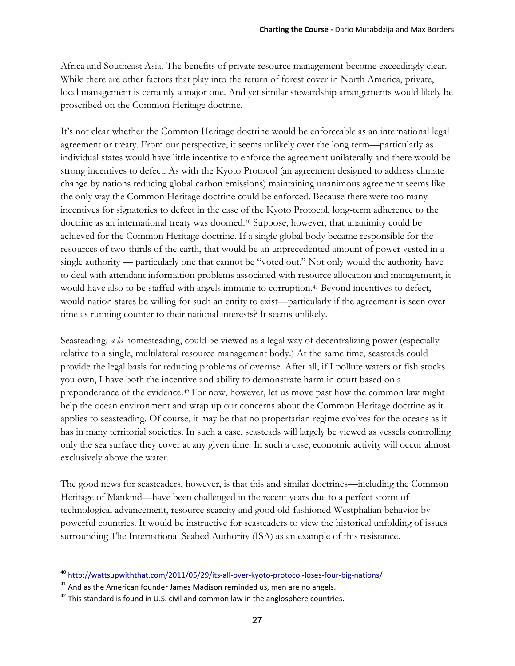Africa and Southeast Asia. The benefits of private resource management become exceedingly clear. While there are other factors that play into the return of forest cover in North America, private, local management is certainly a major one. And yet similar stewardship arrangements would likely be proscribed on the Common Heritage doctrine.

It's not clear whether the Common Heritage doctrine would be enforceable as an international legal agreement or treaty. From our perspective, it seems unlikely over the long term—particularly as individual states would have little incentive to enforce the agreement unilaterally and there would be strong incentives to defect. As with the Kyoto Protocol (an agreement designed to address climate change by nations reducing global carbon emissions) maintaining unanimous agreement seems like the only way the Common Heritage doctrine could be enforced. Because there were too many incentives for signatories to defect in the case of the Kyoto Protocol, long-term adherence to the doctrine as an international treaty was doomed.40 Suppose, however, that unanimity could be achieved for the Common Heritage doctrine. If a single global body became responsible for the resources of two-thirds of the earth, that would be an unprecedented amount of power vested in a single authority — particularly one that cannot be "voted out." Not only would the authority have to deal with attendant information problems associated with resource allocation and management, it would have also to be staffed with angels immune to corruption.<sup>41</sup> Beyond incentives to defect, would nation states be willing for such an entity to exist—particularly if the agreement is seen over time as running counter to their national interests? It seems unlikely.

Seasteading, *a la* homesteading, could be viewed as a legal way of decentralizing power (especially relative to a single, multilateral resource management body.) At the same time, seasteads could provide the legal basis for reducing problems of overuse. After all, if I pollute waters or fish stocks you own, I have both the incentive and ability to demonstrate harm in court based on a preponderance of the evidence.42 For now, however, let us move past how the common law might help the ocean environment and wrap up our concerns about the Common Heritage doctrine as it applies to seasteading. Of course, it may be that no propertarian regime evolves for the oceans as it has in many territorial societies. In such a case, seasteads will largely be viewed as vessels controlling only the sea surface they cover at any given time. In such a case, economic activity will occur almost exclusively above the water.

The good news for seasteaders, however, is that this and similar doctrines—including the Common Heritage of Mankind—have been challenged in the recent years due to a perfect storm of technological advancement, resource scarcity and good old-fashioned Westphalian behavior by powerful countries. It would be instructive for seasteaders to view the historical unfolding of issues surrounding The International Seabed Authority (ISA) as an example of this resistance.

<sup>&</sup>lt;sup>40</sup> http://wattsupwiththat.com/2011/05/29/its-all-over-kyoto-protocol-loses-four-big-nations/

 $41$  And as the American founder James Madison reminded us, men are no angels.

 $42$  This standard is found in U.S. civil and common law in the anglosphere countries.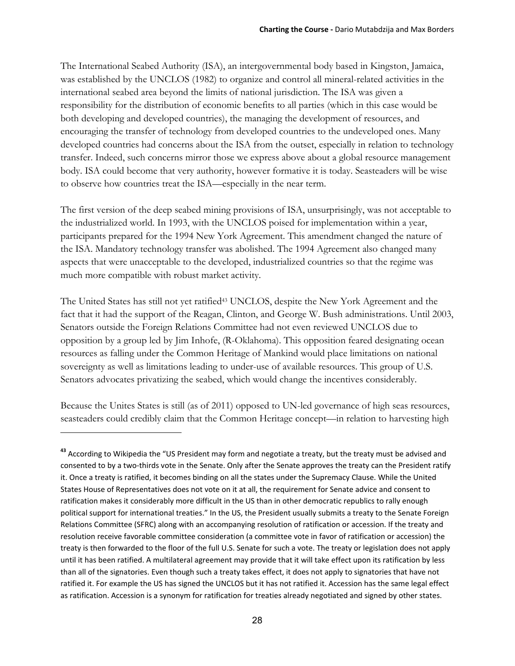The International Seabed Authority (ISA), an intergovernmental body based in Kingston, Jamaica, was established by the UNCLOS (1982) to organize and control all mineral-related activities in the international seabed area beyond the limits of national jurisdiction. The ISA was given a responsibility for the distribution of economic benefits to all parties (which in this case would be both developing and developed countries), the managing the development of resources, and encouraging the transfer of technology from developed countries to the undeveloped ones. Many developed countries had concerns about the ISA from the outset, especially in relation to technology transfer. Indeed, such concerns mirror those we express above about a global resource management body. ISA could become that very authority, however formative it is today. Seasteaders will be wise to observe how countries treat the ISA—especially in the near term.

The first version of the deep seabed mining provisions of ISA, unsurprisingly, was not acceptable to the industrialized world. In 1993, with the UNCLOS poised for implementation within a year, participants prepared for the 1994 New York Agreement. This amendment changed the nature of the ISA. Mandatory technology transfer was abolished. The 1994 Agreement also changed many aspects that were unacceptable to the developed, industrialized countries so that the regime was much more compatible with robust market activity.

The United States has still not yet ratified<sup>43</sup> UNCLOS, despite the New York Agreement and the fact that it had the support of the Reagan, Clinton, and George W. Bush administrations. Until 2003, Senators outside the Foreign Relations Committee had not even reviewed UNCLOS due to opposition by a group led by Jim Inhofe, (R-Oklahoma). This opposition feared designating ocean resources as falling under the Common Heritage of Mankind would place limitations on national sovereignty as well as limitations leading to under-use of available resources. This group of U.S. Senators advocates privatizing the seabed, which would change the incentives considerably.

Because the Unites States is still (as of 2011) opposed to UN-led governance of high seas resources, seasteaders could credibly claim that the Common Heritage concept—in relation to harvesting high

**<sup>43</sup>** According to Wikipedia the "US President may form and negotiate a treaty, but the treaty must be advised and consented to by a two‐thirds vote in the Senate. Only after the Senate approves the treaty can the President ratify it. Once a treaty is ratified, it becomes binding on all the states under the Supremacy Clause. While the United States House of Representatives does not vote on it at all, the requirement for Senate advice and consent to ratification makes it considerably more difficult in the US than in other democratic republics to rally enough political support for international treaties." In the US, the President usually submits a treaty to the Senate Foreign Relations Committee (SFRC) along with an accompanying resolution of ratification or accession. If the treaty and resolution receive favorable committee consideration (a committee vote in favor of ratification or accession) the treaty is then forwarded to the floor of the full U.S. Senate for such a vote. The treaty or legislation does not apply until it has been ratified. A multilateral agreement may provide that it will take effect upon its ratification by less than all of the signatories. Even though such a treaty takes effect, it does not apply to signatories that have not ratified it. For example the US has signed the UNCLOS but it has not ratified it. Accession has the same legal effect as ratification. Accession is a synonym for ratification for treaties already negotiated and signed by other states.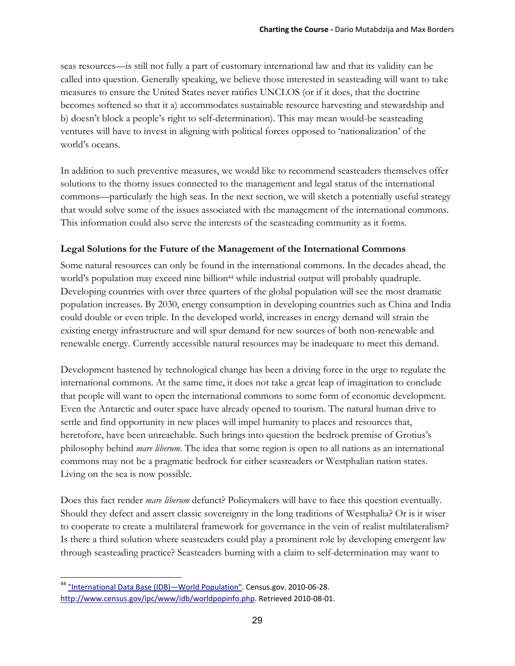seas resources—is still not fully a part of customary international law and that its validity can be called into question. Generally speaking, we believe those interested in seasteading will want to take measures to ensure the United States never ratifies UNCLOS (or if it does, that the doctrine becomes softened so that it a) accommodates sustainable resource harvesting and stewardship and b) doesn't block a people's right to self-determination). This may mean would-be seasteading ventures will have to invest in aligning with political forces opposed to 'nationalization' of the world's oceans.

In addition to such preventive measures, we would like to recommend seasteaders themselves offer solutions to the thorny issues connected to the management and legal status of the international commons—particularly the high seas. In the next section, we will sketch a potentially useful strategy that would solve some of the issues associated with the management of the international commons. This information could also serve the interests of the seasteading community as it forms.

#### **Legal Solutions for the Future of the Management of the International Commons**

Some natural resources can only be found in the international commons. In the decades ahead, the world's population may exceed nine billion<sup>44</sup> while industrial output will probably quadruple. Developing countries with over three quarters of the global population will see the most dramatic population increases. By 2030, energy consumption in developing countries such as China and India could double or even triple. In the developed world, increases in energy demand will strain the existing energy infrastructure and will spur demand for new sources of both non-renewable and renewable energy. Currently accessible natural resources may be inadequate to meet this demand.

Development hastened by technological change has been a driving force in the urge to regulate the international commons. At the same time, it does not take a great leap of imagination to conclude that people will want to open the international commons to some form of economic development. Even the Antarctic and outer space have already opened to tourism. The natural human drive to settle and find opportunity in new places will impel humanity to places and resources that, heretofore, have been unreachable. Such brings into question the bedrock premise of Grotius's philosophy behind *mare liberum*. The idea that some region is open to all nations as an international commons may not be a pragmatic bedrock for either seasteaders or Westphalian nation states. Living on the sea is now possible.

Does this fact render *mare liberum* defunct? Policymakers will have to face this question eventually. Should they defect and assert classic sovereignty in the long traditions of Westphalia? Or is it wiser to cooperate to create a multilateral framework for governance in the vein of realist multilateralism? Is there a third solution where seasteaders could play a prominent role by developing emergent law through seasteading practice? Seasteaders burning with a claim to self-determination may want to

<sup>44 &</sup>quot;International Data Base (IDB)—World Population". Census.gov. 2010-06-28. http://www.census.gov/ipc/www/idb/worldpopinfo.php. Retrieved 2010‐08‐01.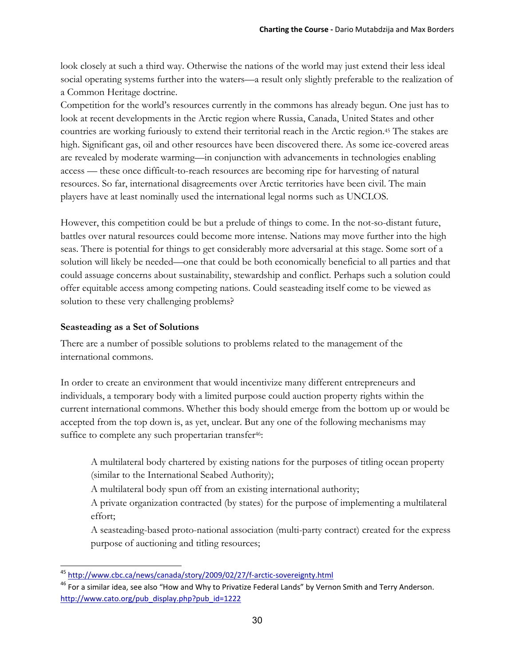look closely at such a third way. Otherwise the nations of the world may just extend their less ideal social operating systems further into the waters—a result only slightly preferable to the realization of a Common Heritage doctrine.

Competition for the world's resources currently in the commons has already begun. One just has to look at recent developments in the Arctic region where Russia, Canada, United States and other countries are working furiously to extend their territorial reach in the Arctic region.45 The stakes are high. Significant gas, oil and other resources have been discovered there. As some ice-covered areas are revealed by moderate warming—in conjunction with advancements in technologies enabling access — these once difficult-to-reach resources are becoming ripe for harvesting of natural resources. So far, international disagreements over Arctic territories have been civil. The main players have at least nominally used the international legal norms such as UNCLOS.

However, this competition could be but a prelude of things to come. In the not-so-distant future, battles over natural resources could become more intense. Nations may move further into the high seas. There is potential for things to get considerably more adversarial at this stage. Some sort of a solution will likely be needed—one that could be both economically beneficial to all parties and that could assuage concerns about sustainability, stewardship and conflict. Perhaps such a solution could offer equitable access among competing nations. Could seasteading itself come to be viewed as solution to these very challenging problems?

#### **Seasteading as a Set of Solutions**

There are a number of possible solutions to problems related to the management of the international commons.

In order to create an environment that would incentivize many different entrepreneurs and individuals, a temporary body with a limited purpose could auction property rights within the current international commons. Whether this body should emerge from the bottom up or would be accepted from the top down is, as yet, unclear. But any one of the following mechanisms may suffice to complete any such propertarian transfer<sup>46</sup>:

 A multilateral body chartered by existing nations for the purposes of titling ocean property (similar to the International Seabed Authority);

A multilateral body spun off from an existing international authority;

 A private organization contracted (by states) for the purpose of implementing a multilateral effort;

 A seasteading-based proto-national association (multi-party contract) created for the express purpose of auctioning and titling resources;

<sup>45</sup> http://www.cbc.ca/news/canada/story/2009/02/27/f‐arctic‐sovereignty.html

<sup>&</sup>lt;sup>46</sup> For a similar idea, see also "How and Why to Privatize Federal Lands" by Vernon Smith and Terry Anderson. http://www.cato.org/pub\_display.php?pub\_id=1222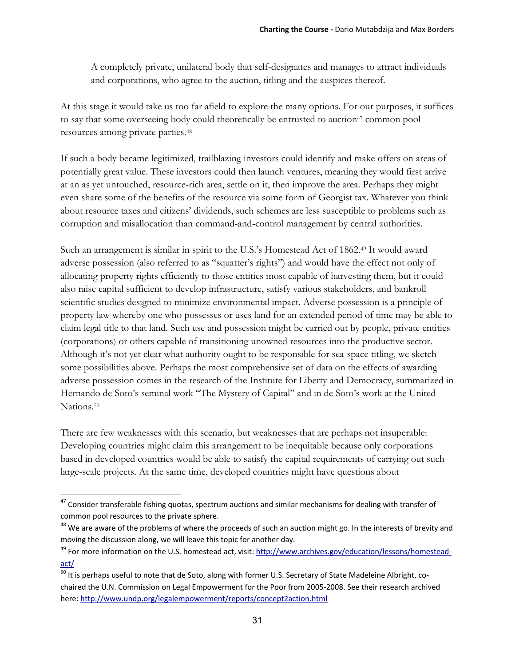A completely private, unilateral body that self-designates and manages to attract individuals and corporations, who agree to the auction, titling and the auspices thereof.

At this stage it would take us too far afield to explore the many options. For our purposes, it suffices to say that some overseeing body could theoretically be entrusted to auction<sup>47</sup> common pool resources among private parties.48

If such a body became legitimized, trailblazing investors could identify and make offers on areas of potentially great value. These investors could then launch ventures, meaning they would first arrive at an as yet untouched, resource-rich area, settle on it, then improve the area. Perhaps they might even share some of the benefits of the resource via some form of Georgist tax. Whatever you think about resource taxes and citizens' dividends, such schemes are less susceptible to problems such as corruption and misallocation than command-and-control management by central authorities.

Such an arrangement is similar in spirit to the U.S.'s Homestead Act of 1862.<sup>49</sup> It would award adverse possession (also referred to as "squatter's rights") and would have the effect not only of allocating property rights efficiently to those entities most capable of harvesting them, but it could also raise capital sufficient to develop infrastructure, satisfy various stakeholders, and bankroll scientific studies designed to minimize environmental impact. Adverse possession is a principle of property law whereby one who possesses or uses land for an extended period of time may be able to claim legal title to that land. Such use and possession might be carried out by people, private entities (corporations) or others capable of transitioning unowned resources into the productive sector. Although it's not yet clear what authority ought to be responsible for sea-space titling, we sketch some possibilities above. Perhaps the most comprehensive set of data on the effects of awarding adverse possession comes in the research of the Institute for Liberty and Democracy, summarized in Hernando de Soto's seminal work "The Mystery of Capital" and in de Soto's work at the United Nations*.*50

There are few weaknesses with this scenario, but weaknesses that are perhaps not insuperable: Developing countries might claim this arrangement to be inequitable because only corporations based in developed countries would be able to satisfy the capital requirements of carrying out such large-scale projects. At the same time, developed countries might have questions about

 $^{47}$  Consider transferable fishing quotas, spectrum auctions and similar mechanisms for dealing with transfer of common pool resources to the private sphere.

<sup>&</sup>lt;sup>48</sup> We are aware of the problems of where the proceeds of such an auction might go. In the interests of brevity and moving the discussion along, we will leave this topic for another day.

<sup>&</sup>lt;sup>49</sup> For more information on the U.S. homestead act, visit: http://www.archives.gov/education/lessons/homesteadact/

<sup>&</sup>lt;sup>50</sup> It is perhaps useful to note that de Soto, along with former U.S. Secretary of State Madeleine Albright, cochaired the U.N. Commission on Legal Empowerment for the Poor from 2005‐2008. See their research archived here: http://www.undp.org/legalempowerment/reports/concept2action.html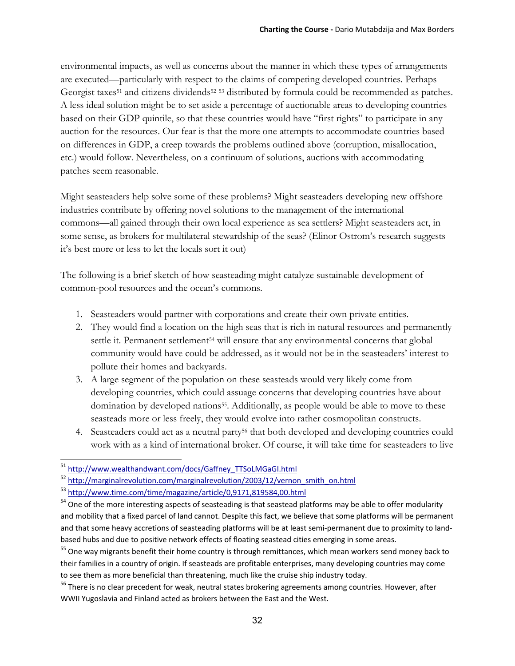environmental impacts, as well as concerns about the manner in which these types of arrangements are executed—particularly with respect to the claims of competing developed countries. Perhaps Georgist taxes<sup>51</sup> and citizens dividends<sup>52</sup><sup>53</sup> distributed by formula could be recommended as patches. A less ideal solution might be to set aside a percentage of auctionable areas to developing countries based on their GDP quintile, so that these countries would have "first rights" to participate in any auction for the resources. Our fear is that the more one attempts to accommodate countries based on differences in GDP, a creep towards the problems outlined above (corruption, misallocation, etc.) would follow. Nevertheless, on a continuum of solutions, auctions with accommodating patches seem reasonable.

Might seasteaders help solve some of these problems? Might seasteaders developing new offshore industries contribute by offering novel solutions to the management of the international commons—all gained through their own local experience as sea settlers? Might seasteaders act, in some sense, as brokers for multilateral stewardship of the seas? (Elinor Ostrom's research suggests it's best more or less to let the locals sort it out)

The following is a brief sketch of how seasteading might catalyze sustainable development of common-pool resources and the ocean's commons.

- 1. Seasteaders would partner with corporations and create their own private entities.
- 2. They would find a location on the high seas that is rich in natural resources and permanently settle it. Permanent settlement<sup>54</sup> will ensure that any environmental concerns that global community would have could be addressed, as it would not be in the seasteaders' interest to pollute their homes and backyards.
- 3. A large segment of the population on these seasteads would very likely come from developing countries, which could assuage concerns that developing countries have about domination by developed nations<sup>55</sup>. Additionally, as people would be able to move to these seasteads more or less freely, they would evolve into rather cosmopolitan constructs.
- 4. Seasteaders could act as a neutral party56 that both developed and developing countries could work with as a kind of international broker. Of course, it will take time for seasteaders to live

 <sup>51</sup> http://www.wealthandwant.com/docs/Gaffney\_TTSoLMGaGI.html

<sup>&</sup>lt;sup>52</sup> http://marginalrevolution.com/marginalrevolution/2003/12/vernon\_smith\_on.html

<sup>53</sup> http://www.time.com/time/magazine/article/0,9171,819584,00.html

<sup>&</sup>lt;sup>54</sup> One of the more interesting aspects of seasteading is that seastead platforms may be able to offer modularity and mobility that a fixed parcel of land cannot. Despite this fact, we believe that some platforms will be permanent and that some heavy accretions of seasteading platforms will be at least semi-permanent due to proximity to landbased hubs and due to positive network effects of floating seastead cities emerging in some areas.

<sup>&</sup>lt;sup>55</sup> One way migrants benefit their home country is through remittances, which mean workers send money back to their families in a country of origin. If seasteads are profitable enterprises, many developing countries may come to see them as more beneficial than threatening, much like the cruise ship industry today.

<sup>&</sup>lt;sup>56</sup> There is no clear precedent for weak, neutral states brokering agreements among countries. However, after WWII Yugoslavia and Finland acted as brokers between the East and the West.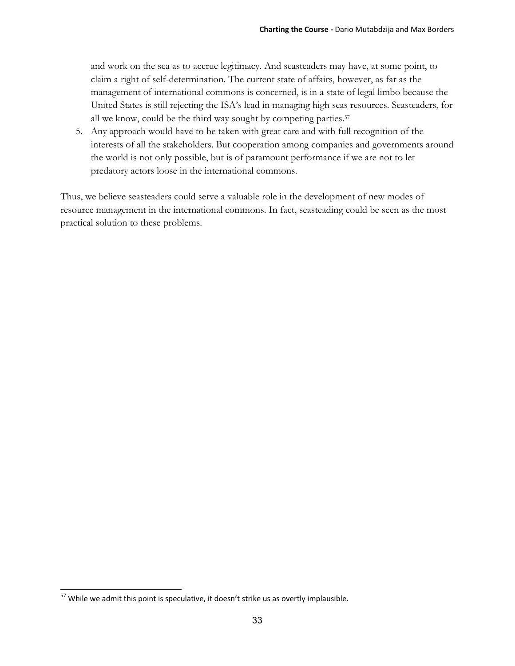and work on the sea as to accrue legitimacy. And seasteaders may have, at some point, to claim a right of self-determination. The current state of affairs, however, as far as the management of international commons is concerned, is in a state of legal limbo because the United States is still rejecting the ISA's lead in managing high seas resources. Seasteaders, for all we know, could be the third way sought by competing parties.57

5. Any approach would have to be taken with great care and with full recognition of the interests of all the stakeholders. But cooperation among companies and governments around the world is not only possible, but is of paramount performance if we are not to let predatory actors loose in the international commons.

Thus, we believe seasteaders could serve a valuable role in the development of new modes of resource management in the international commons. In fact, seasteading could be seen as the most practical solution to these problems.

 $57$  While we admit this point is speculative, it doesn't strike us as overtly implausible.